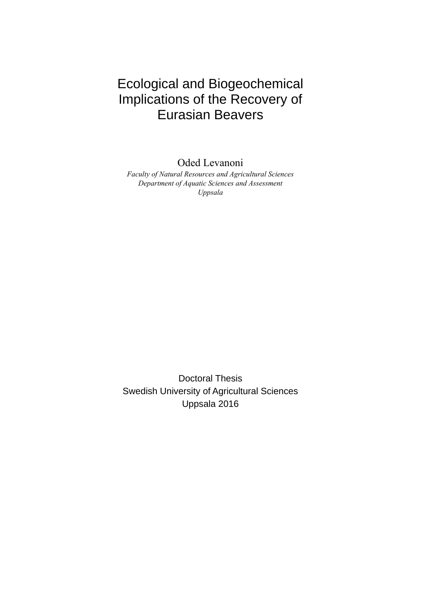# Ecological and Biogeochemical Implications of the Recovery of Eurasian Beavers

Oded Levanoni

*Faculty of Natural Resources and Agricultural Sciences Department of Aquatic Sciences and Assessment Uppsala* 

Doctoral Thesis Swedish University of Agricultural Sciences Uppsala 2016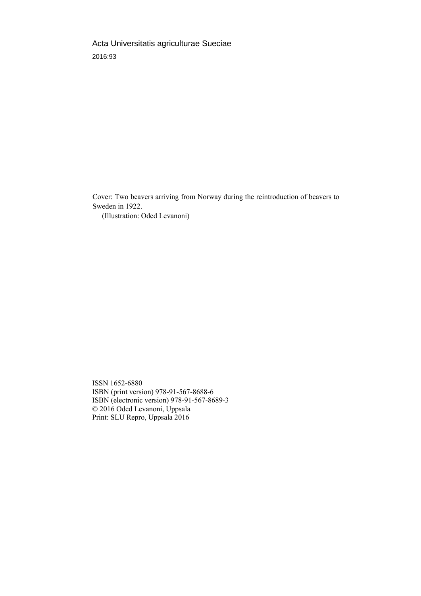Acta Universitatis agriculturae Sueciae 2016:93

Cover: Two beavers arriving from Norway during the reintroduction of beavers to Sweden in 1922.

(Illustration: Oded Levanoni)

ISSN 1652-6880 ISBN (print version) 978-91-567-8688-6 ISBN (electronic version) 978-91-567-8689-3 © 2016 Oded Levanoni, Uppsala Print: SLU Repro, Uppsala 2016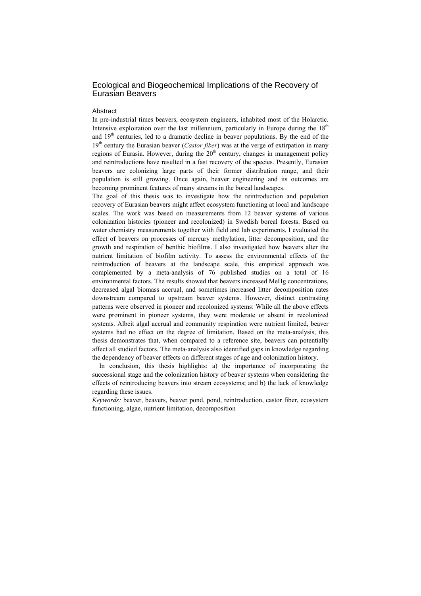### Ecological and Biogeochemical Implications of the Recovery of Eurasian Beavers

#### **Abstract**

In pre-industrial times beavers, ecosystem engineers, inhabited most of the Holarctic. Intensive exploitation over the last millennium, particularly in Europe during the  $18<sup>th</sup>$ and  $19<sup>th</sup>$  centuries, led to a dramatic decline in beaver populations. By the end of the 19<sup>th</sup> century the Eurasian beaver (*Castor fiber*) was at the verge of extirpation in many regions of Eurasia. However, during the  $20<sup>th</sup>$  century, changes in management policy and reintroductions have resulted in a fast recovery of the species. Presently, Eurasian beavers are colonizing large parts of their former distribution range, and their population is still growing. Once again, beaver engineering and its outcomes are becoming prominent features of many streams in the boreal landscapes.

The goal of this thesis was to investigate how the reintroduction and population recovery of Eurasian beavers might affect ecosystem functioning at local and landscape scales. The work was based on measurements from 12 beaver systems of various colonization histories (pioneer and recolonized) in Swedish boreal forests. Based on water chemistry measurements together with field and lab experiments, I evaluated the effect of beavers on processes of mercury methylation, litter decomposition, and the growth and respiration of benthic biofilms. I also investigated how beavers alter the nutrient limitation of biofilm activity. To assess the environmental effects of the reintroduction of beavers at the landscape scale, this empirical approach was complemented by a meta-analysis of 76 published studies on a total of 16 environmental factors. The results showed that beavers increased MeHg concentrations, decreased algal biomass accrual, and sometimes increased litter decomposition rates downstream compared to upstream beaver systems. However, distinct contrasting patterns were observed in pioneer and recolonized systems: While all the above effects were prominent in pioneer systems, they were moderate or absent in recolonized systems. Albeit algal accrual and community respiration were nutrient limited, beaver systems had no effect on the degree of limitation. Based on the meta-analysis, this thesis demonstrates that, when compared to a reference site, beavers can potentially affect all studied factors. The meta-analysis also identified gaps in knowledge regarding the dependency of beaver effects on different stages of age and colonization history.

In conclusion, this thesis highlights: a) the importance of incorporating the successional stage and the colonization history of beaver systems when considering the effects of reintroducing beavers into stream ecosystems; and b) the lack of knowledge regarding these issues.

*Keywords:* beaver, beavers, beaver pond, pond, reintroduction, castor fiber, ecosystem functioning, algae, nutrient limitation, decomposition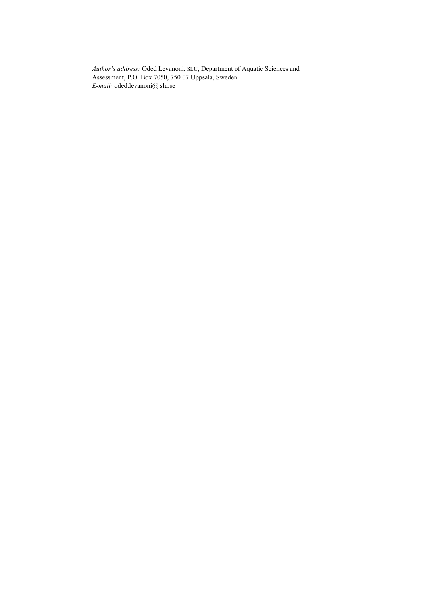*Author's address:* Oded Levanoni, SLU, Department of Aquatic Sciences and Assessment, P.O. Box 7050, 750 07 Uppsala, Sweden *E-mail:* oded.levanoni@ slu.se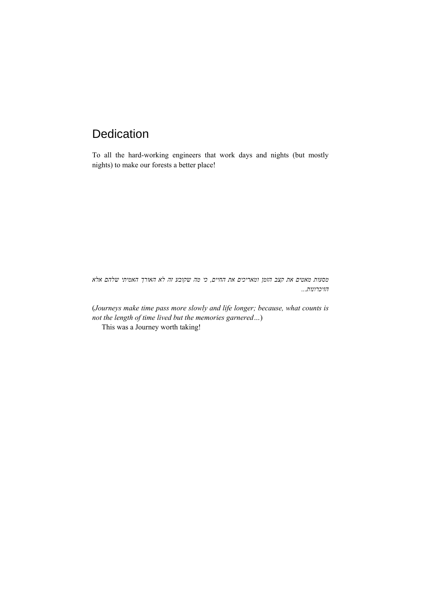# Dedication

To all the hard-working engineers that work days and nights (but mostly nights) to make our forests a better place!

*מסעות מאטים את קצב הזמן ומאריכים את החיים, כי מה שקובע זה לא האורך האמיתי שלהם אלא הזיכרונות...*

(*Journeys make time pass more slowly and life longer; because, what counts is not the length of time lived but the memories garnered…*)

This was a Journey worth taking!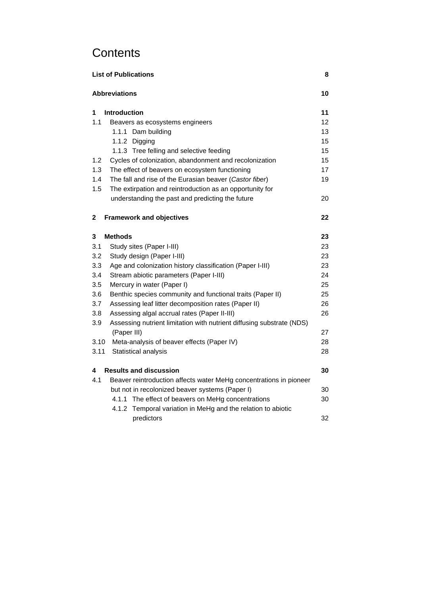# **Contents**

| 8<br><b>List of Publications</b> |                                                                       |    |  |
|----------------------------------|-----------------------------------------------------------------------|----|--|
|                                  | <b>Abbreviations</b>                                                  |    |  |
| 1                                | <b>Introduction</b>                                                   | 11 |  |
| 1.1                              | Beavers as ecosystems engineers                                       | 12 |  |
|                                  | 1.1.1 Dam building                                                    | 13 |  |
|                                  | 1.1.2 Digging                                                         | 15 |  |
|                                  | 1.1.3 Tree felling and selective feeding                              | 15 |  |
| 1.2                              | Cycles of colonization, abandonment and recolonization                | 15 |  |
| 1.3                              | The effect of beavers on ecosystem functioning                        | 17 |  |
| 1.4                              | The fall and rise of the Eurasian beaver (Castor fiber)               | 19 |  |
| 1.5                              | The extirpation and reintroduction as an opportunity for              |    |  |
|                                  | understanding the past and predicting the future                      | 20 |  |
| 2                                | <b>Framework and objectives</b>                                       | 22 |  |
| 3                                | <b>Methods</b>                                                        | 23 |  |
| 3.1                              | Study sites (Paper I-III)                                             | 23 |  |
| 3.2                              | Study design (Paper I-III)                                            | 23 |  |
| 3.3                              | Age and colonization history classification (Paper I-III)             | 23 |  |
| 3.4                              | Stream abiotic parameters (Paper I-III)                               | 24 |  |
| 3.5                              | Mercury in water (Paper I)                                            | 25 |  |
| 3.6                              | Benthic species community and functional traits (Paper II)            | 25 |  |
| 3.7                              | Assessing leaf litter decomposition rates (Paper II)                  | 26 |  |
| 3.8                              | Assessing algal accrual rates (Paper II-III)                          | 26 |  |
| 3.9                              | Assessing nutrient limitation with nutrient diffusing substrate (NDS) |    |  |
|                                  | (Paper III)                                                           | 27 |  |
| 3.10                             | Meta-analysis of beaver effects (Paper IV)                            | 28 |  |
| 3.11                             | Statistical analysis                                                  | 28 |  |
| 4                                | <b>Results and discussion</b>                                         | 30 |  |
| 4.1                              | Beaver reintroduction affects water MeHg concentrations in pioneer    |    |  |
|                                  | but not in recolonized beaver systems (Paper I)                       | 30 |  |
|                                  | 4.1.1 The effect of beavers on MeHg concentrations                    | 30 |  |
|                                  | Temporal variation in MeHg and the relation to abiotic<br>4.1.2       |    |  |
|                                  | predictors                                                            | 32 |  |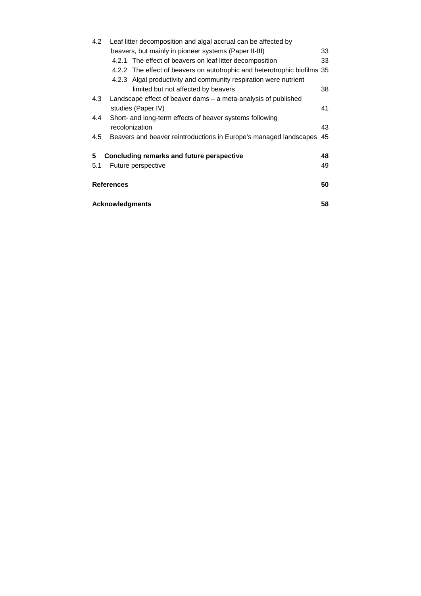| 4.2 | Leaf litter decomposition and algal accrual can be affected by           |    |  |
|-----|--------------------------------------------------------------------------|----|--|
|     | beavers, but mainly in pioneer systems (Paper II-III)                    | 33 |  |
|     | 4.2.1 The effect of beavers on leaf litter decomposition                 | 33 |  |
|     | 4.2.2 The effect of beavers on autotrophic and heterotrophic biofilms 35 |    |  |
|     | 4.2.3 Algal productivity and community respiration were nutrient         |    |  |
|     | limited but not affected by beavers                                      | 38 |  |
| 4.3 | Landscape effect of beaver dams – a meta-analysis of published           |    |  |
|     | studies (Paper IV)                                                       | 41 |  |
| 4.4 | Short- and long-term effects of beaver systems following                 |    |  |
|     | recolonization                                                           | 43 |  |
| 4.5 | Beavers and beaver reintroductions in Europe's managed landscapes        | 45 |  |
|     |                                                                          |    |  |
| 5   | Concluding remarks and future perspective                                |    |  |
| 5.1 | Future perspective                                                       | 49 |  |
|     |                                                                          |    |  |
|     | <b>References</b>                                                        | 50 |  |
|     |                                                                          |    |  |
|     | <b>Acknowledgments</b>                                                   | 58 |  |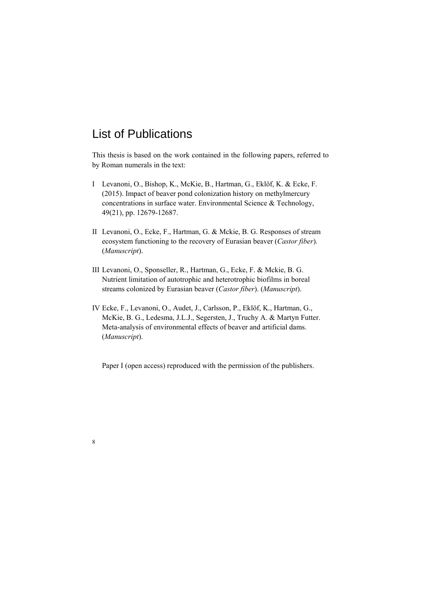# List of Publications

8

This thesis is based on the work contained in the following papers, referred to by Roman numerals in the text:

- I Levanoni, O., Bishop, K., McKie, B., Hartman, G., Eklöf, K. & Ecke, F. (2015). Impact of beaver pond colonization history on methylmercury concentrations in surface water. Environmental Science & Technology, 49(21), pp. 12679-12687.
- II Levanoni, O., Ecke, F., Hartman, G. & Mckie, B. G. Responses of stream ecosystem functioning to the recovery of Eurasian beaver (*Castor fiber*). (*Manuscript*).
- III Levanoni, O., Sponseller, R., Hartman, G., Ecke, F. & Mckie, B. G. Nutrient limitation of autotrophic and heterotrophic biofilms in boreal streams colonized by Eurasian beaver (*Castor fiber*). (*Manuscript*).
- IV Ecke, F., Levanoni, O., Audet, J., Carlsson, P., Eklöf, K., Hartman, G., McKie, B. G., Ledesma, J.L.J., Segersten, J., Truchy A. & Martyn Futter. Meta-analysis of environmental effects of beaver and artificial dams. (*Manuscript*).

Paper I (open access) reproduced with the permission of the publishers.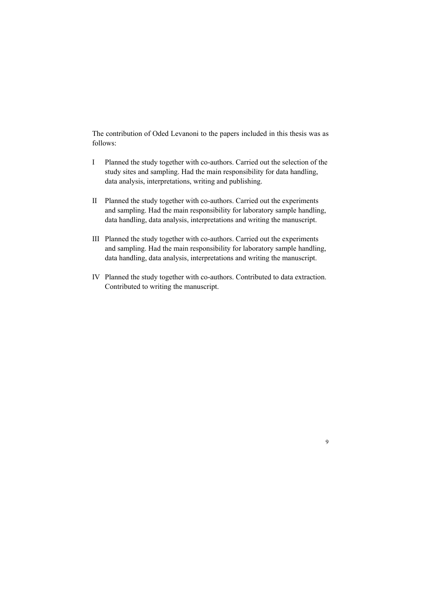The contribution of Oded Levanoni to the papers included in this thesis was as follows:

- I Planned the study together with co-authors. Carried out the selection of the study sites and sampling. Had the main responsibility for data handling, data analysis, interpretations, writing and publishing.
- II Planned the study together with co-authors. Carried out the experiments and sampling. Had the main responsibility for laboratory sample handling, data handling, data analysis, interpretations and writing the manuscript.
- III Planned the study together with co-authors. Carried out the experiments and sampling. Had the main responsibility for laboratory sample handling, data handling, data analysis, interpretations and writing the manuscript.
- IV Planned the study together with co-authors. Contributed to data extraction. Contributed to writing the manuscript.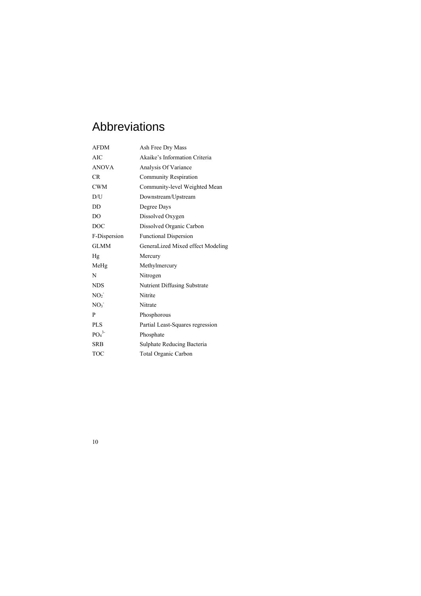# Abbreviations

| <b>AFDM</b>                  | Ash Free Dry Mass                 |
|------------------------------|-----------------------------------|
| AIC                          | Akaike's Information Criteria     |
| <b>ANOVA</b>                 | Analysis Of Variance              |
| CR                           | <b>Community Respiration</b>      |
| <b>CWM</b>                   | Community-level Weighted Mean     |
| D/U                          | Downstream/Upstream               |
| D <sub>D</sub>               | Degree Days                       |
| D <sub>O</sub>               | Dissolved Oxygen                  |
| <b>DOC</b>                   | Dissolved Organic Carbon          |
| F-Dispersion                 | <b>Functional Dispersion</b>      |
| <b>GLMM</b>                  | GeneraLized Mixed effect Modeling |
| Hg                           | Mercury                           |
| MeHg                         | Methylmercury                     |
| N                            | Nitrogen                          |
| <b>NDS</b>                   | Nutrient Diffusing Substrate      |
| NO <sub>2</sub>              | Nitrite                           |
| NO <sub>3</sub>              | Nitrate                           |
| P                            | Phosphorous                       |
| <b>PLS</b>                   | Partial Least-Squares regression  |
| PO <sub>4</sub> <sup>3</sup> | Phosphate                         |
| SRB                          |                                   |
|                              | Sulphate Reducing Bacteria        |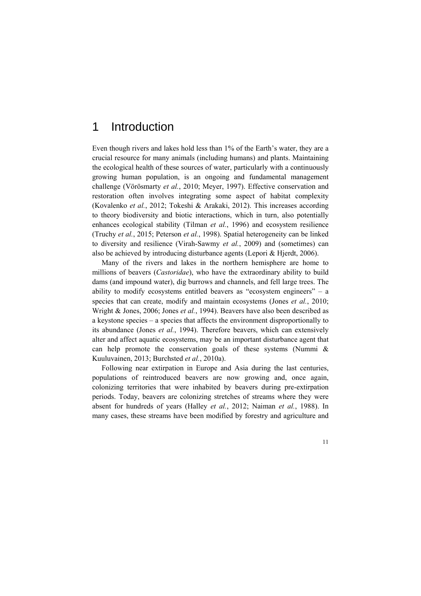# 1 Introduction

Even though rivers and lakes hold less than 1% of the Earth's water, they are a crucial resource for many animals (including humans) and plants. Maintaining the ecological health of these sources of water, particularly with a continuously growing human population, is an ongoing and fundamental management challenge (Vörösmarty *et al.*, 2010; Meyer, 1997). Effective conservation and restoration often involves integrating some aspect of habitat complexity (Kovalenko *et al.*, 2012; Tokeshi & Arakaki, 2012). This increases according to theory biodiversity and biotic interactions, which in turn, also potentially enhances ecological stability (Tilman *et al.*, 1996) and ecosystem resilience (Truchy *et al.*, 2015; Peterson *et al.*, 1998). Spatial heterogeneity can be linked to diversity and resilience (Virah-Sawmy *et al.*, 2009) and (sometimes) can also be achieved by introducing disturbance agents (Lepori & Hjerdt, 2006).

Many of the rivers and lakes in the northern hemisphere are home to millions of beavers (*Castoridae*), who have the extraordinary ability to build dams (and impound water), dig burrows and channels, and fell large trees. The ability to modify ecosystems entitled beavers as "ecosystem engineers" – a species that can create, modify and maintain ecosystems (Jones *et al.*, 2010; Wright & Jones, 2006; Jones *et al.*, 1994). Beavers have also been described as a keystone species – a species that affects the environment disproportionally to its abundance (Jones *et al.*, 1994). Therefore beavers, which can extensively alter and affect aquatic ecosystems, may be an important disturbance agent that can help promote the conservation goals of these systems (Nummi & Kuuluvainen, 2013; Burchsted *et al.*, 2010a).

Following near extirpation in Europe and Asia during the last centuries, populations of reintroduced beavers are now growing and, once again, colonizing territories that were inhabited by beavers during pre-extirpation periods. Today, beavers are colonizing stretches of streams where they were absent for hundreds of years (Halley *et al.*, 2012; Naiman *et al.*, 1988). In many cases, these streams have been modified by forestry and agriculture and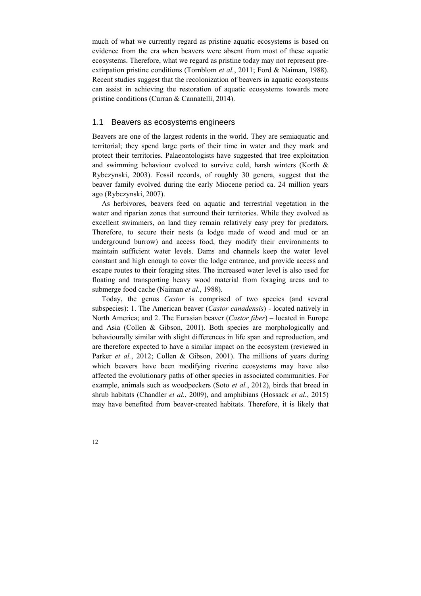much of what we currently regard as pristine aquatic ecosystems is based on evidence from the era when beavers were absent from most of these aquatic ecosystems. Therefore, what we regard as pristine today may not represent preextirpation pristine conditions (Tornblom *et al.*, 2011; Ford & Naiman, 1988). Recent studies suggest that the recolonization of beavers in aquatic ecosystems can assist in achieving the restoration of aquatic ecosystems towards more pristine conditions (Curran & Cannatelli, 2014).

# 1.1 Beavers as ecosystems engineers

Beavers are one of the largest rodents in the world. They are semiaquatic and territorial; they spend large parts of their time in water and they mark and protect their territories. Palaeontologists have suggested that tree exploitation and swimming behaviour evolved to survive cold, harsh winters (Korth & Rybczynski, 2003). Fossil records, of roughly 30 genera, suggest that the beaver family evolved during the early Miocene period ca. 24 million years ago (Rybczynski, 2007).

As herbivores, beavers feed on aquatic and terrestrial vegetation in the water and riparian zones that surround their territories. While they evolved as excellent swimmers, on land they remain relatively easy prey for predators. Therefore, to secure their nests (a lodge made of wood and mud or an underground burrow) and access food, they modify their environments to maintain sufficient water levels. Dams and channels keep the water level constant and high enough to cover the lodge entrance, and provide access and escape routes to their foraging sites. The increased water level is also used for floating and transporting heavy wood material from foraging areas and to submerge food cache (Naiman *et al.*, 1988).

Today, the genus *Castor* is comprised of two species (and several subspecies): 1. The American beaver (*Castor canadensis*) - located natively in North America; and 2. The Eurasian beaver (*Castor fiber*) – located in Europe and Asia (Collen & Gibson, 2001). Both species are morphologically and behaviourally similar with slight differences in life span and reproduction, and are therefore expected to have a similar impact on the ecosystem (reviewed in Parker *et al.*, 2012; Collen & Gibson, 2001). The millions of years during which beavers have been modifying riverine ecosystems may have also affected the evolutionary paths of other species in associated communities. For example, animals such as woodpeckers (Soto *et al.*, 2012), birds that breed in shrub habitats (Chandler *et al.*, 2009), and amphibians (Hossack *et al.*, 2015) may have benefited from beaver-created habitats. Therefore, it is likely that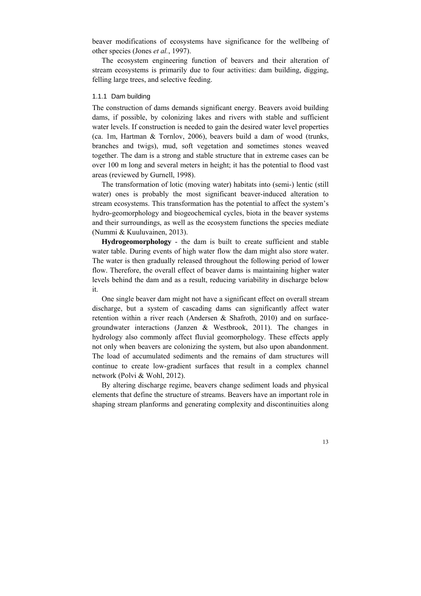beaver modifications of ecosystems have significance for the wellbeing of other species (Jones *et al.*, 1997).

The ecosystem engineering function of beavers and their alteration of stream ecosystems is primarily due to four activities: dam building, digging, felling large trees, and selective feeding.

#### 1.1.1 Dam building

The construction of dams demands significant energy. Beavers avoid building dams, if possible, by colonizing lakes and rivers with stable and sufficient water levels. If construction is needed to gain the desired water level properties (ca. 1m, Hartman & Tornlov, 2006), beavers build a dam of wood (trunks, branches and twigs), mud, soft vegetation and sometimes stones weaved together. The dam is a strong and stable structure that in extreme cases can be over 100 m long and several meters in height; it has the potential to flood vast areas (reviewed by Gurnell, 1998).

The transformation of lotic (moving water) habitats into (semi-) lentic (still water) ones is probably the most significant beaver-induced alteration to stream ecosystems. This transformation has the potential to affect the system's hydro-geomorphology and biogeochemical cycles, biota in the beaver systems and their surroundings, as well as the ecosystem functions the species mediate (Nummi & Kuuluvainen, 2013).

**Hydrogeomorphology** - the dam is built to create sufficient and stable water table. During events of high water flow the dam might also store water. The water is then gradually released throughout the following period of lower flow. Therefore, the overall effect of beaver dams is maintaining higher water levels behind the dam and as a result, reducing variability in discharge below it.

One single beaver dam might not have a significant effect on overall stream discharge, but a system of cascading dams can significantly affect water retention within a river reach (Andersen & Shafroth, 2010) and on surfacegroundwater interactions (Janzen & Westbrook, 2011). The changes in hydrology also commonly affect fluvial geomorphology. These effects apply not only when beavers are colonizing the system, but also upon abandonment. The load of accumulated sediments and the remains of dam structures will continue to create low-gradient surfaces that result in a complex channel network (Polvi & Wohl, 2012).

By altering discharge regime, beavers change sediment loads and physical elements that define the structure of streams. Beavers have an important role in shaping stream planforms and generating complexity and discontinuities along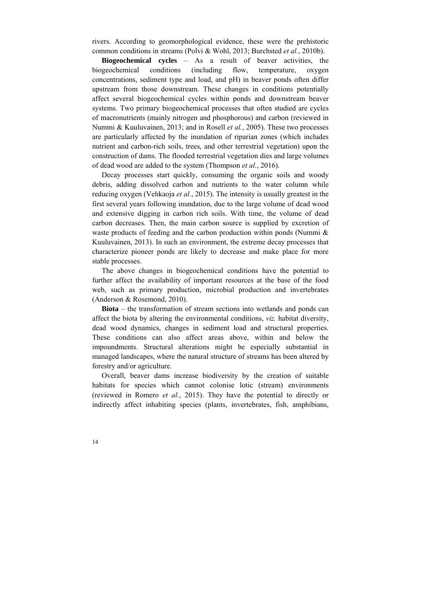rivers. According to geomorphological evidence, these were the prehistoric common conditions in streams (Polvi & Wohl, 2013; Burchsted *et al.*, 2010b).

**Biogeochemical cycles** – As a result of beaver activities, the biogeochemical conditions (including flow, temperature, oxygen concentrations, sediment type and load, and pH) in beaver ponds often differ upstream from those downstream. These changes in conditions potentially affect several biogeochemical cycles within ponds and downstream beaver systems. Two primary biogeochemical processes that often studied are cycles of macronutrients (mainly nitrogen and phosphorous) and carbon (reviewed in Nummi & Kuuluvainen, 2013; and in Rosell *et al.*, 2005). These two processes are particularly affected by the inundation of riparian zones (which includes nutrient and carbon-rich soils, trees, and other terrestrial vegetation) upon the construction of dams. The flooded terrestrial vegetation dies and large volumes of dead wood are added to the system (Thompson *et al.*, 2016).

Decay processes start quickly, consuming the organic soils and woody debris, adding dissolved carbon and nutrients to the water column while reducing oxygen (Vehkaoja *et al.*, 2015). The intensity is usually greatest in the first several years following inundation, due to the large volume of dead wood and extensive digging in carbon rich soils. With time, the volume of dead carbon decreases. Then, the main carbon source is supplied by excretion of waste products of feeding and the carbon production within ponds (Nummi  $\&$ Kuuluvainen, 2013). In such an environment, the extreme decay processes that characterize pioneer ponds are likely to decrease and make place for more stable processes.

The above changes in biogeochemical conditions have the potential to further affect the availability of important resources at the base of the food web, such as primary production, microbial production and invertebrates (Anderson & Rosemond, 2010).

**Biota** – the transformation of stream sections into wetlands and ponds can affect the biota by altering the environmental conditions, *viz.* habitat diversity, dead wood dynamics, changes in sediment load and structural properties. These conditions can also affect areas above, within and below the impoundments. Structural alterations might be especially substantial in managed landscapes, where the natural structure of streams has been altered by forestry and/or agriculture.

Overall, beaver dams increase biodiversity by the creation of suitable habitats for species which cannot colonise lotic (stream) environments (reviewed in Romero *et al.*, 2015). They have the potential to directly or indirectly affect inhabiting species (plants, invertebrates, fish, amphibians,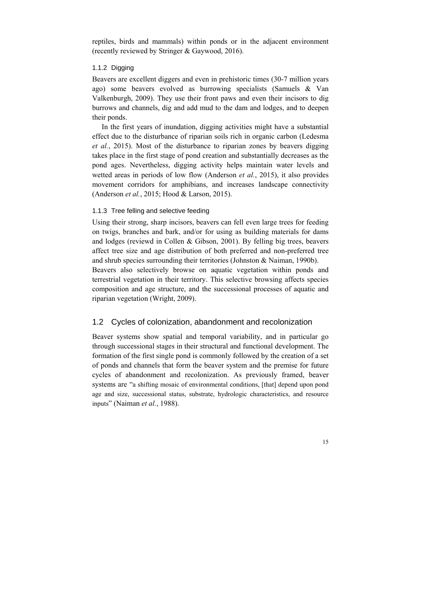reptiles, birds and mammals) within ponds or in the adjacent environment (recently reviewed by Stringer & Gaywood, 2016).

#### 1.1.2 Digging

Beavers are excellent diggers and even in prehistoric times (30-7 million years ago) some beavers evolved as burrowing specialists (Samuels & Van Valkenburgh, 2009). They use their front paws and even their incisors to dig burrows and channels, dig and add mud to the dam and lodges, and to deepen their ponds.

In the first years of inundation, digging activities might have a substantial effect due to the disturbance of riparian soils rich in organic carbon (Ledesma *et al.*, 2015). Most of the disturbance to riparian zones by beavers digging takes place in the first stage of pond creation and substantially decreases as the pond ages. Nevertheless, digging activity helps maintain water levels and wetted areas in periods of low flow (Anderson *et al.*, 2015), it also provides movement corridors for amphibians, and increases landscape connectivity (Anderson *et al.*, 2015; Hood & Larson, 2015).

#### 1.1.3 Tree felling and selective feeding

Using their strong, sharp incisors, beavers can fell even large trees for feeding on twigs, branches and bark, and/or for using as building materials for dams and lodges (reviewd in Collen & Gibson, 2001). By felling big trees, beavers affect tree size and age distribution of both preferred and non-preferred tree and shrub species surrounding their territories (Johnston & Naiman, 1990b). Beavers also selectively browse on aquatic vegetation within ponds and

terrestrial vegetation in their territory. This selective browsing affects species composition and age structure, and the successional processes of aquatic and riparian vegetation (Wright, 2009).

#### 1.2 Cycles of colonization, abandonment and recolonization

Beaver systems show spatial and temporal variability, and in particular go through successional stages in their structural and functional development. The formation of the first single pond is commonly followed by the creation of a set of ponds and channels that form the beaver system and the premise for future cycles of abandonment and recolonization. As previously framed, beaver systems are "a shifting mosaic of environmental conditions, [that] depend upon pond age and size, successional status, substrate, hydrologic characteristics, and resource inputs" (Naiman *et al.*, 1988).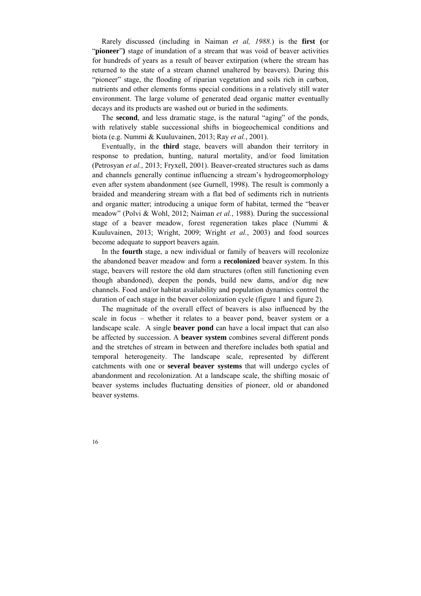Rarely discussed (including in Naiman *et al, 1988.*) is the **first (**or "**pioneer**") stage of inundation of a stream that was void of beaver activities for hundreds of years as a result of beaver extirpation (where the stream has returned to the state of a stream channel unaltered by beavers). During this "pioneer" stage, the flooding of riparian vegetation and soils rich in carbon, nutrients and other elements forms special conditions in a relatively still water environment. The large volume of generated dead organic matter eventually decays and its products are washed out or buried in the sediments.

The **second**, and less dramatic stage, is the natural "aging" of the ponds, with relatively stable successional shifts in biogeochemical conditions and biota (e.g. Nummi & Kuuluvainen, 2013; Ray *et al.*, 2001).

Eventually, in the **third** stage, beavers will abandon their territory in response to predation, hunting, natural mortality, and/or food limitation (Petrosyan *et al.*, 2013; Fryxell, 2001). Beaver-created structures such as dams and channels generally continue influencing a stream's hydrogeomorphology even after system abandonment (see Gurnell, 1998). The result is commonly a braided and meandering stream with a flat bed of sediments rich in nutrients and organic matter; introducing a unique form of habitat, termed the "beaver meadow" (Polvi & Wohl, 2012; Naiman *et al.*, 1988). During the successional stage of a beaver meadow, forest regeneration takes place (Nummi & Kuuluvainen, 2013; Wright, 2009; Wright *et al.*, 2003) and food sources become adequate to support beavers again.

In the **fourth** stage, a new individual or family of beavers will recolonize the abandoned beaver meadow and form a **recolonized** beaver system. In this stage, beavers will restore the old dam structures (often still functioning even though abandoned), deepen the ponds, build new dams, and/or dig new channels. Food and/or habitat availability and population dynamics control the duration of each stage in the beaver colonization cycle (figure 1 and figure 2).

The magnitude of the overall effect of beavers is also influenced by the scale in focus – whether it relates to a beaver pond, beaver system or a landscape scale. A single **beaver pond** can have a local impact that can also be affected by succession. A **beaver system** combines several different ponds and the stretches of stream in between and therefore includes both spatial and temporal heterogeneity. The landscape scale, represented by different catchments with one or **several beaver systems** that will undergo cycles of abandonment and recolonization. At a landscape scale, the shifting mosaic of beaver systems includes fluctuating densities of pioneer, old or abandoned beaver systems.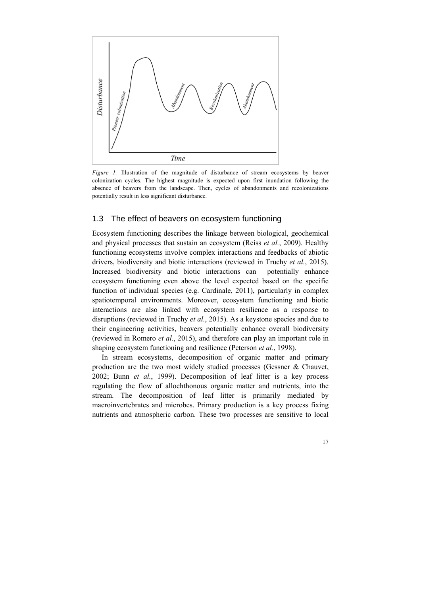

*Figure 1.* Illustration of the magnitude of disturbance of stream ecosystems by beaver colonization cycles. The highest magnitude is expected upon first inundation following the absence of beavers from the landscape. Then, cycles of abandonments and recolonizations potentially result in less significant disturbance.

#### 1.3 The effect of beavers on ecosystem functioning

Ecosystem functioning describes the linkage between biological, geochemical and physical processes that sustain an ecosystem (Reiss *et al.*, 2009). Healthy functioning ecosystems involve complex interactions and feedbacks of abiotic drivers, biodiversity and biotic interactions (reviewed in Truchy *et al.*, 2015). Increased biodiversity and biotic interactions can potentially enhance ecosystem functioning even above the level expected based on the specific function of individual species (e.g. Cardinale, 2011), particularly in complex spatiotemporal environments. Moreover, ecosystem functioning and biotic interactions are also linked with ecosystem resilience as a response to disruptions (reviewed in Truchy *et al.*, 2015). As a keystone species and due to their engineering activities, beavers potentially enhance overall biodiversity (reviewed in Romero *et al.*, 2015), and therefore can play an important role in shaping ecosystem functioning and resilience (Peterson *et al.*, 1998).

In stream ecosystems, decomposition of organic matter and primary production are the two most widely studied processes (Gessner & Chauvet, 2002; Bunn *et al.*, 1999). Decomposition of leaf litter is a key process regulating the flow of allochthonous organic matter and nutrients, into the stream. The decomposition of leaf litter is primarily mediated by macroinvertebrates and microbes. Primary production is a key process fixing nutrients and atmospheric carbon. These two processes are sensitive to local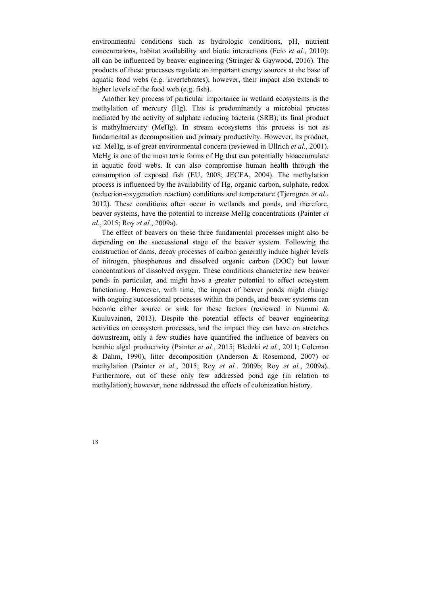environmental conditions such as hydrologic conditions, pH, nutrient concentrations, habitat availability and biotic interactions (Feio *et al.*, 2010); all can be influenced by beaver engineering (Stringer & Gaywood, 2016). The products of these processes regulate an important energy sources at the base of aquatic food webs (e.g. invertebrates); however, their impact also extends to higher levels of the food web (e.g. fish).

Another key process of particular importance in wetland ecosystems is the methylation of mercury (Hg). This is predominantly a microbial process mediated by the activity of sulphate reducing bacteria (SRB); its final product is methylmercury (MeHg). In stream ecosystems this process is not as fundamental as decomposition and primary productivity. However, its product, *viz.* MeHg, is of great environmental concern (reviewed in Ullrich *et al.*, 2001). MeHg is one of the most toxic forms of Hg that can potentially bioaccumulate in aquatic food webs. It can also compromise human health through the consumption of exposed fish (EU, 2008; JECFA, 2004). The methylation process is influenced by the availability of Hg, organic carbon, sulphate, redox (reduction-oxygenation reaction) conditions and temperature (Tjerngren *et al.*, 2012). These conditions often occur in wetlands and ponds, and therefore, beaver systems, have the potential to increase MeHg concentrations (Painter *et al.*, 2015; Roy *et al.*, 2009a).

The effect of beavers on these three fundamental processes might also be depending on the successional stage of the beaver system. Following the construction of dams, decay processes of carbon generally induce higher levels of nitrogen, phosphorous and dissolved organic carbon (DOC) but lower concentrations of dissolved oxygen. These conditions characterize new beaver ponds in particular, and might have a greater potential to effect ecosystem functioning. However, with time, the impact of beaver ponds might change with ongoing successional processes within the ponds, and beaver systems can become either source or sink for these factors (reviewed in Nummi & Kuuluvainen, 2013). Despite the potential effects of beaver engineering activities on ecosystem processes, and the impact they can have on stretches downstream, only a few studies have quantified the influence of beavers on benthic algal productivity (Painter *et al.*, 2015; Bledzki *et al.*, 2011; Coleman & Dahm, 1990), litter decomposition (Anderson & Rosemond, 2007) or methylation (Painter *et al.*, 2015; Roy *et al.*, 2009b; Roy *et al.*, 2009a). Furthermore, out of these only few addressed pond age (in relation to methylation); however, none addressed the effects of colonization history.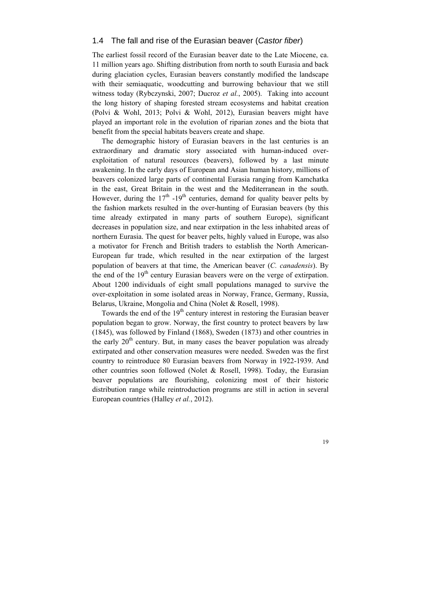### 1.4 The fall and rise of the Eurasian beaver (*Castor fiber*)

The earliest fossil record of the Eurasian beaver date to the Late Miocene, ca. 11 million years ago. Shifting distribution from north to south Eurasia and back during glaciation cycles, Eurasian beavers constantly modified the landscape with their semiaquatic, woodcutting and burrowing behaviour that we still witness today (Rybczynski, 2007; Ducroz *et al.*, 2005). Taking into account the long history of shaping forested stream ecosystems and habitat creation (Polvi & Wohl, 2013; Polvi & Wohl, 2012), Eurasian beavers might have played an important role in the evolution of riparian zones and the biota that benefit from the special habitats beavers create and shape.

The demographic history of Eurasian beavers in the last centuries is an extraordinary and dramatic story associated with human-induced overexploitation of natural resources (beavers), followed by a last minute awakening. In the early days of European and Asian human history, millions of beavers colonized large parts of continental Eurasia ranging from Kamchatka in the east, Great Britain in the west and the Mediterranean in the south. However, during the  $17<sup>th</sup>$  -19<sup>th</sup> centuries, demand for quality beaver pelts by the fashion markets resulted in the over-hunting of Eurasian beavers (by this time already extirpated in many parts of southern Europe), significant decreases in population size, and near extirpation in the less inhabited areas of northern Eurasia. The quest for beaver pelts, highly valued in Europe, was also a motivator for French and British traders to establish the North American-European fur trade, which resulted in the near extirpation of the largest population of beavers at that time, the American beaver (*C. canadensis*). By the end of the  $19<sup>th</sup>$  century Eurasian beavers were on the verge of extirpation. About 1200 individuals of eight small populations managed to survive the over-exploitation in some isolated areas in Norway, France, Germany, Russia, Belarus, Ukraine, Mongolia and China (Nolet & Rosell, 1998).

Towards the end of the  $19<sup>th</sup>$  century interest in restoring the Eurasian beaver population began to grow. Norway, the first country to protect beavers by law (1845), was followed by Finland (1868), Sweden (1873) and other countries in the early  $20<sup>th</sup>$  century. But, in many cases the beaver population was already extirpated and other conservation measures were needed. Sweden was the first country to reintroduce 80 Eurasian beavers from Norway in 1922-1939. And other countries soon followed (Nolet & Rosell, 1998). Today, the Eurasian beaver populations are flourishing, colonizing most of their historic distribution range while reintroduction programs are still in action in several European countries (Halley *et al.*, 2012).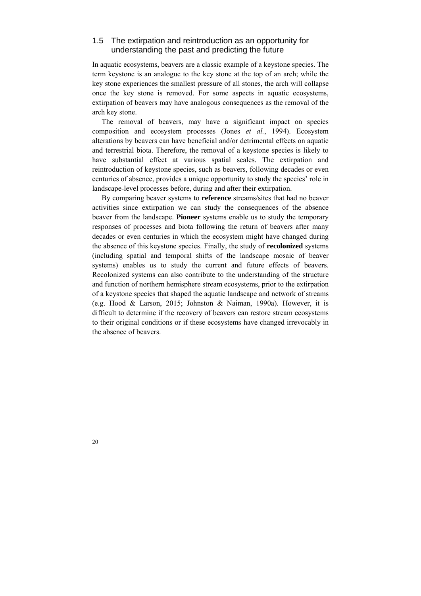## 1.5 The extirpation and reintroduction as an opportunity for understanding the past and predicting the future

In aquatic ecosystems, beavers are a classic example of a keystone species. The term keystone is an analogue to the key stone at the top of an arch; while the key stone experiences the smallest pressure of all stones, the arch will collapse once the key stone is removed. For some aspects in aquatic ecosystems, extirpation of beavers may have analogous consequences as the removal of the arch key stone.

The removal of beavers, may have a significant impact on species composition and ecosystem processes (Jones *et al.*, 1994). Ecosystem alterations by beavers can have beneficial and/or detrimental effects on aquatic and terrestrial biota. Therefore, the removal of a keystone species is likely to have substantial effect at various spatial scales. The extirpation and reintroduction of keystone species, such as beavers, following decades or even centuries of absence, provides a unique opportunity to study the species' role in landscape-level processes before, during and after their extirpation.

By comparing beaver systems to **reference** streams/sites that had no beaver activities since extirpation we can study the consequences of the absence beaver from the landscape. **Pioneer** systems enable us to study the temporary responses of processes and biota following the return of beavers after many decades or even centuries in which the ecosystem might have changed during the absence of this keystone species. Finally, the study of **recolonized** systems (including spatial and temporal shifts of the landscape mosaic of beaver systems) enables us to study the current and future effects of beavers. Recolonized systems can also contribute to the understanding of the structure and function of northern hemisphere stream ecosystems, prior to the extirpation of a keystone species that shaped the aquatic landscape and network of streams (e.g. Hood & Larson, 2015; Johnston & Naiman, 1990a). However, it is difficult to determine if the recovery of beavers can restore stream ecosystems to their original conditions or if these ecosystems have changed irrevocably in the absence of beavers.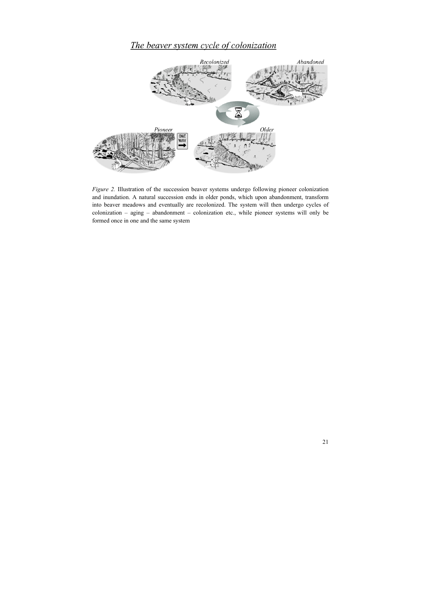# The beaver system cycle of colonization



*Figure 2.* Illustration of the succession beaver systems undergo following pioneer colonization and inundation. A natural succession ends in older ponds, which upon abandonment, transform into beaver meadows and eventually are recolonized. The system will then undergo cycles of colonization – aging – abandonment – colonization etc., while pioneer systems will only be formed once in one and the same system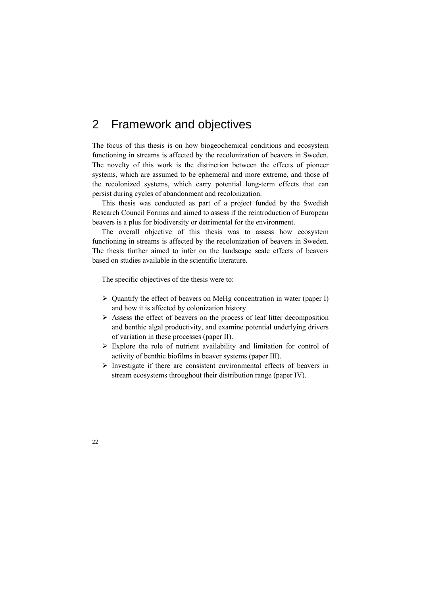# 2 Framework and objectives

The focus of this thesis is on how biogeochemical conditions and ecosystem functioning in streams is affected by the recolonization of beavers in Sweden. The novelty of this work is the distinction between the effects of pioneer systems, which are assumed to be ephemeral and more extreme, and those of the recolonized systems, which carry potential long-term effects that can persist during cycles of abandonment and recolonization.

This thesis was conducted as part of a project funded by the Swedish Research Council Formas and aimed to assess if the reintroduction of European beavers is a plus for biodiversity or detrimental for the environment.

The overall objective of this thesis was to assess how ecosystem functioning in streams is affected by the recolonization of beavers in Sweden. The thesis further aimed to infer on the landscape scale effects of beavers based on studies available in the scientific literature.

The specific objectives of the thesis were to:

- $\triangleright$  Quantify the effect of beavers on MeHg concentration in water (paper I) and how it is affected by colonization history.
- $\triangleright$  Assess the effect of beavers on the process of leaf litter decomposition and benthic algal productivity, and examine potential underlying drivers of variation in these processes (paper II).
- $\triangleright$  Explore the role of nutrient availability and limitation for control of activity of benthic biofilms in beaver systems (paper III).
- $\triangleright$  Investigate if there are consistent environmental effects of beavers in stream ecosystems throughout their distribution range (paper IV).

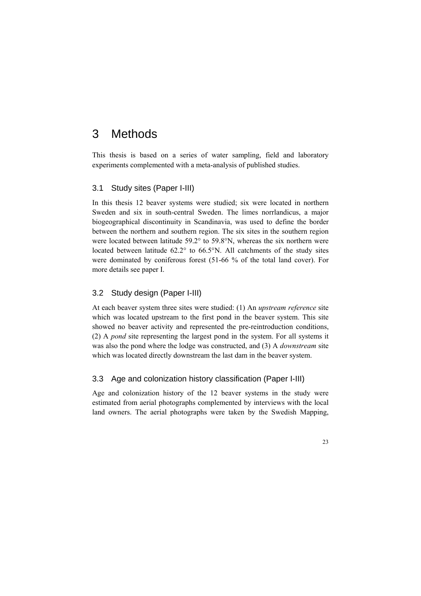# 3 Methods

This thesis is based on a series of water sampling, field and laboratory experiments complemented with a meta-analysis of published studies.

### 3.1 Study sites (Paper I-III)

In this thesis 12 beaver systems were studied; six were located in northern Sweden and six in south-central Sweden. The limes norrlandicus, a major biogeographical discontinuity in Scandinavia, was used to define the border between the northern and southern region. The six sites in the southern region were located between latitude 59.2° to 59.8°N, whereas the six northern were located between latitude 62.2° to 66.5°N. All catchments of the study sites were dominated by coniferous forest (51-66 % of the total land cover). For more details see paper I.

### 3.2 Study design (Paper I-III)

At each beaver system three sites were studied: (1) An *upstream reference* site which was located upstream to the first pond in the beaver system. This site showed no beaver activity and represented the pre-reintroduction conditions, (2) A *pond* site representing the largest pond in the system. For all systems it was also the pond where the lodge was constructed, and (3) A *downstream* site which was located directly downstream the last dam in the beaver system.

### 3.3 Age and colonization history classification (Paper I-III)

Age and colonization history of the 12 beaver systems in the study were estimated from aerial photographs complemented by interviews with the local land owners. The aerial photographs were taken by the Swedish Mapping,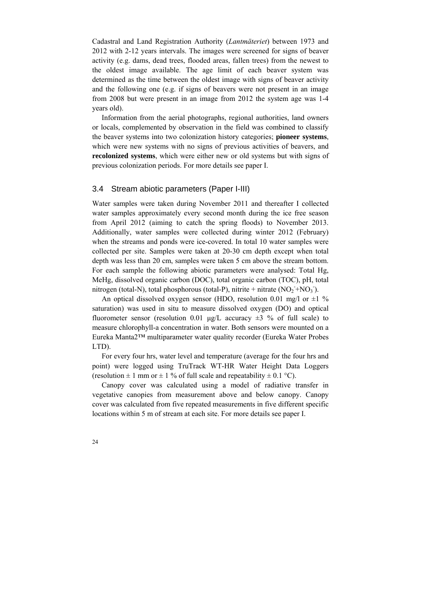Cadastral and Land Registration Authority (*Lantmäteriet*) between 1973 and 2012 with 2-12 years intervals. The images were screened for signs of beaver activity (e.g. dams, dead trees, flooded areas, fallen trees) from the newest to the oldest image available. The age limit of each beaver system was determined as the time between the oldest image with signs of beaver activity and the following one (e.g. if signs of beavers were not present in an image from 2008 but were present in an image from 2012 the system age was 1-4 years old).

Information from the aerial photographs, regional authorities, land owners or locals, complemented by observation in the field was combined to classify the beaver systems into two colonization history categories; **pioneer systems**, which were new systems with no signs of previous activities of beavers, and **recolonized systems**, which were either new or old systems but with signs of previous colonization periods. For more details see paper I.

#### 3.4 Stream abiotic parameters (Paper I-III)

Water samples were taken during November 2011 and thereafter I collected water samples approximately every second month during the ice free season from April 2012 (aiming to catch the spring floods) to November 2013. Additionally, water samples were collected during winter 2012 (February) when the streams and ponds were ice-covered. In total 10 water samples were collected per site. Samples were taken at 20-30 cm depth except when total depth was less than 20 cm, samples were taken 5 cm above the stream bottom. For each sample the following abiotic parameters were analysed: Total Hg, MeHg, dissolved organic carbon (DOC), total organic carbon (TOC), pH, total nitrogen (total-N), total phosphorous (total-P), nitrite + nitrate  $(NO<sub>2</sub> + NO<sub>3</sub>)$ .

An optical dissolved oxygen sensor (HDO, resolution 0.01 mg/l or  $\pm 1\%$ ) saturation) was used in situ to measure dissolved oxygen (DO) and optical fluorometer sensor (resolution 0.01 μg/L accuracy  $\pm 3$  % of full scale) to measure chlorophyll-a concentration in water. Both sensors were mounted on a Eureka Manta2™ multiparameter water quality recorder (Eureka Water Probes LTD).

For every four hrs, water level and temperature (average for the four hrs and point) were logged using TruTrack WT-HR Water Height Data Loggers (resolution  $\pm 1$  mm or  $\pm 1$  % of full scale and repeatability  $\pm 0.1$  °C).

Canopy cover was calculated using a model of radiative transfer in vegetative canopies from measurement above and below canopy. Canopy cover was calculated from five repeated measurements in five different specific locations within 5 m of stream at each site. For more details see paper I.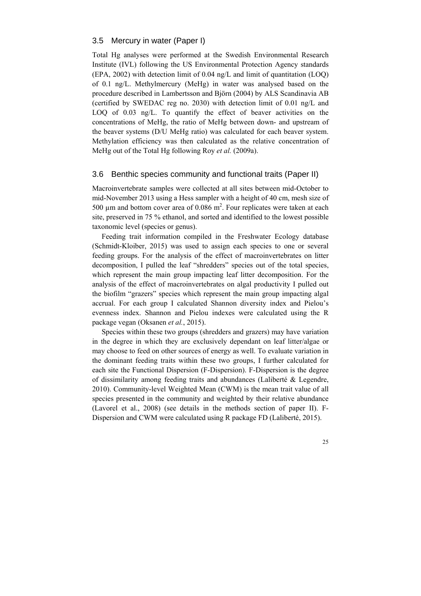#### 3.5 Mercury in water (Paper I)

Total Hg analyses were performed at the Swedish Environmental Research Institute (IVL) following the US Environmental Protection Agency standards (EPA, 2002) with detection limit of 0.04 ng/L and limit of quantitation (LOQ) of 0.1 ng/L. Methylmercury (MeHg) in water was analysed based on the procedure described in Lambertsson and Björn (2004) by ALS Scandinavia AB (certified by SWEDAC reg no. 2030) with detection limit of 0.01 ng/L and LOQ of 0.03 ng/L. To quantify the effect of beaver activities on the concentrations of MeHg, the ratio of MeHg between down- and upstream of the beaver systems (D/U MeHg ratio) was calculated for each beaver system. Methylation efficiency was then calculated as the relative concentration of MeHg out of the Total Hg following Roy *et al.* (2009a).

### 3.6 Benthic species community and functional traits (Paper II)

Macroinvertebrate samples were collected at all sites between mid-October to mid-November 2013 using a Hess sampler with a height of 40 cm, mesh size of 500  $\mu$ m and bottom cover area of 0.086 m<sup>2</sup>. Four replicates were taken at each site, preserved in 75 % ethanol, and sorted and identified to the lowest possible taxonomic level (species or genus).

Feeding trait information compiled in the Freshwater Ecology database (Schmidt-Kloiber, 2015) was used to assign each species to one or several feeding groups. For the analysis of the effect of macroinvertebrates on litter decomposition, I pulled the leaf "shredders" species out of the total species, which represent the main group impacting leaf litter decomposition. For the analysis of the effect of macroinvertebrates on algal productivity I pulled out the biofilm "grazers" species which represent the main group impacting algal accrual. For each group I calculated Shannon diversity index and Pielou's evenness index. Shannon and Pielou indexes were calculated using the R package vegan (Oksanen *et al.*, 2015).

Species within these two groups (shredders and grazers) may have variation in the degree in which they are exclusively dependant on leaf litter/algae or may choose to feed on other sources of energy as well. To evaluate variation in the dominant feeding traits within these two groups, I further calculated for each site the Functional Dispersion (F-Dispersion). F-Dispersion is the degree of dissimilarity among feeding traits and abundances (Laliberté & Legendre, 2010). Community-level Weighted Mean (CWM) is the mean trait value of all species presented in the community and weighted by their relative abundance (Lavorel et al., 2008) (see details in the methods section of paper II). F-Dispersion and CWM were calculated using R package FD (Laliberté, 2015).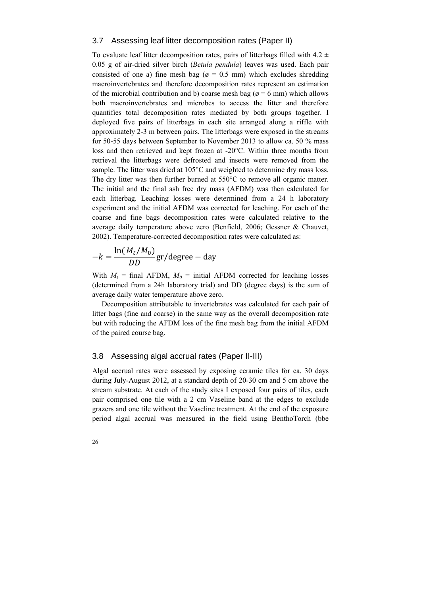### 3.7 Assessing leaf litter decomposition rates (Paper II)

To evaluate leaf litter decomposition rates, pairs of litterbags filled with  $4.2 \pm$ 0.05 g of air-dried silver birch (*Betula pendula*) leaves was used. Each pair consisted of one a) fine mesh bag ( $\varphi = 0.5$  mm) which excludes shredding macroinvertebrates and therefore decomposition rates represent an estimation of the microbial contribution and b) coarse mesh bag ( $\alpha$  = 6 mm) which allows both macroinvertebrates and microbes to access the litter and therefore quantifies total decomposition rates mediated by both groups together. I deployed five pairs of litterbags in each site arranged along a riffle with approximately 2-3 m between pairs. The litterbags were exposed in the streams for 50-55 days between September to November 2013 to allow ca. 50 % mass loss and then retrieved and kept frozen at -20°C. Within three months from retrieval the litterbags were defrosted and insects were removed from the sample. The litter was dried at 105°C and weighted to determine dry mass loss. The dry litter was then further burned at 550°C to remove all organic matter. The initial and the final ash free dry mass (AFDM) was then calculated for each litterbag. Leaching losses were determined from a 24 h laboratory experiment and the initial AFDM was corrected for leaching. For each of the coarse and fine bags decomposition rates were calculated relative to the average daily temperature above zero (Benfield, 2006; Gessner & Chauvet, 2002). Temperature-corrected decomposition rates were calculated as:

$$
-k = \frac{\ln(M_t/M_0)}{DD} \text{gr/degree} - \text{day}
$$

With  $M_t$  = final AFDM,  $M_0$  = initial AFDM corrected for leaching losses (determined from a 24h laboratory trial) and DD (degree days) is the sum of average daily water temperature above zero.

Decomposition attributable to invertebrates was calculated for each pair of litter bags (fine and coarse) in the same way as the overall decomposition rate but with reducing the AFDM loss of the fine mesh bag from the initial AFDM of the paired course bag.

#### 3.8 Assessing algal accrual rates (Paper II-III)

Algal accrual rates were assessed by exposing ceramic tiles for ca. 30 days during July-August 2012, at a standard depth of 20-30 cm and 5 cm above the stream substrate. At each of the study sites I exposed four pairs of tiles, each pair comprised one tile with a 2 cm Vaseline band at the edges to exclude grazers and one tile without the Vaseline treatment. At the end of the exposure period algal accrual was measured in the field using BenthoTorch (bbe

26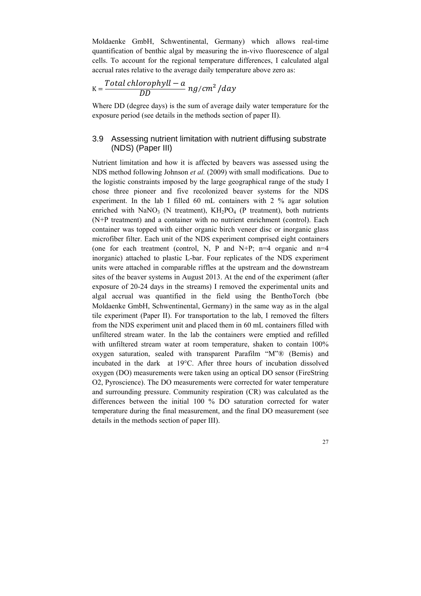Moldaenke GmbH, Schwentinental, Germany) which allows real-time quantification of benthic algal by measuring the in-vivo fluorescence of algal cells. To account for the regional temperature differences, I calculated algal accrual rates relative to the average daily temperature above zero as:

$$
K = \frac{Total\ chlorophyll - a}{DD} \, ng/cm^2 / day
$$

Where DD (degree days) is the sum of average daily water temperature for the exposure period (see details in the methods section of paper II).

## 3.9 Assessing nutrient limitation with nutrient diffusing substrate (NDS) (Paper III)

Nutrient limitation and how it is affected by beavers was assessed using the NDS method following Johnson *et al.* (2009) with small modifications. Due to the logistic constraints imposed by the large geographical range of the study I chose three pioneer and five recolonized beaver systems for the NDS experiment. In the lab I filled 60 mL containers with 2 % agar solution enriched with NaNO<sub>3</sub> (N treatment),  $KH<sub>2</sub>PO<sub>4</sub>$  (P treatment), both nutrients (N+P treatment) and a container with no nutrient enrichment (control). Each container was topped with either organic birch veneer disc or inorganic glass microfiber filter. Each unit of the NDS experiment comprised eight containers (one for each treatment (control, N, P and N+P;  $n=4$  organic and  $n=4$ inorganic) attached to plastic L-bar. Four replicates of the NDS experiment units were attached in comparable riffles at the upstream and the downstream sites of the beaver systems in August 2013. At the end of the experiment (after exposure of 20-24 days in the streams) I removed the experimental units and algal accrual was quantified in the field using the BenthoTorch (bbe Moldaenke GmbH, Schwentinental, Germany) in the same way as in the algal tile experiment (Paper II). For transportation to the lab, I removed the filters from the NDS experiment unit and placed them in 60 mL containers filled with unfiltered stream water. In the lab the containers were emptied and refilled with unfiltered stream water at room temperature, shaken to contain 100% oxygen saturation, sealed with transparent Parafilm "M"® (Bemis) and incubated in the dark at 19°C. After three hours of incubation dissolved oxygen (DO) measurements were taken using an optical DO sensor (FireString O2, Pyroscience). The DO measurements were corrected for water temperature and surrounding pressure. Community respiration (CR) was calculated as the differences between the initial 100 % DO saturation corrected for water temperature during the final measurement, and the final DO measurement (see details in the methods section of paper III).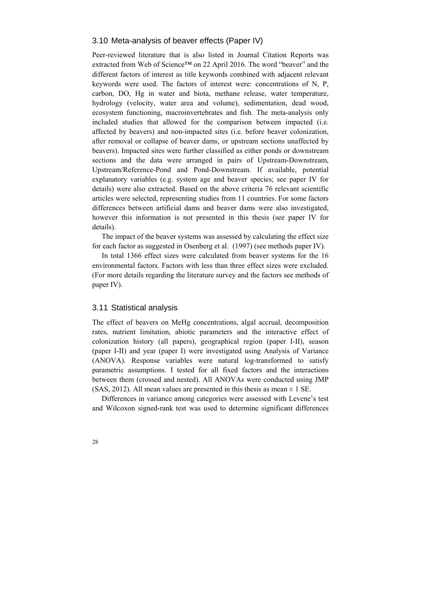#### 3.10 Meta-analysis of beaver effects (Paper IV)

Peer-reviewed literature that is also listed in Journal Citation Reports was extracted from Web of Science™ on 22 April 2016. The word "beaver" and the different factors of interest as title keywords combined with adjacent relevant keywords were used. The factors of interest were: concentrations of N, P, carbon, DO, Hg in water and biota, methane release, water temperature, hydrology (velocity, water area and volume), sedimentation, dead wood, ecosystem functioning, macroinvertebrates and fish. The meta-analysis only included studies that allowed for the comparison between impacted (i.e. affected by beavers) and non-impacted sites (i.e. before beaver colonization, after removal or collapse of beaver dams, or upstream sections unaffected by beavers). Impacted sites were further classified as either ponds or downstream sections and the data were arranged in pairs of Upstream-Downstream, Upstream/Reference-Pond and Pond-Downstream. If available, potential explanatory variables (e.g. system age and beaver species; see paper IV for details) were also extracted. Based on the above criteria 76 relevant scientific articles were selected, representing studies from 11 countries. For some factors differences between artificial dams and beaver dams were also investigated, however this information is not presented in this thesis (see paper IV for details).

The impact of the beaver systems was assessed by calculating the effect size for each factor as suggested in Osenberg et al. (1997) (see methods paper IV).

In total 1366 effect sizes were calculated from beaver systems for the 16 environmental factors. Factors with less than three effect sizes were excluded. (For more details regarding the literature survey and the factors see methods of paper IV).

#### 3.11 Statistical analysis

The effect of beavers on MeHg concentrations, algal accrual, decomposition rates, nutrient limitation, abiotic parameters and the interactive effect of colonization history (all papers), geographical region (paper I-II), season (paper I-II) and year (paper I) were investigated using Analysis of Variance (ANOVA). Response variables were natural log-transformed to satisfy parametric assumptions. I tested for all fixed factors and the interactions between them (crossed and nested). All ANOVAs were conducted using JMP (SAS, 2012). All mean values are presented in this thesis as mean  $\pm$  1 SE.

Differences in variance among categories were assessed with Levene's test and Wilcoxon signed-rank test was used to determine significant differences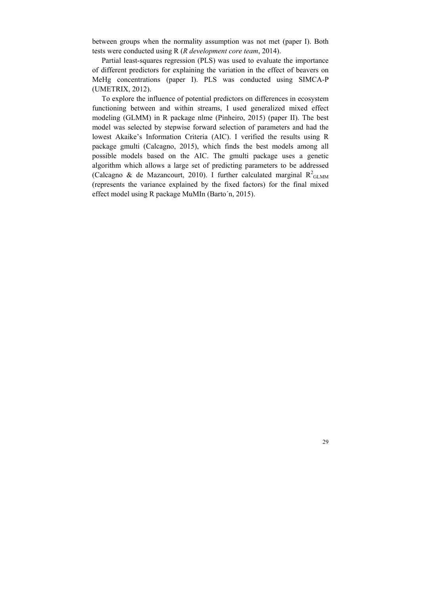between groups when the normality assumption was not met (paper I). Both tests were conducted using R (*R development core team*, 2014).

Partial least-squares regression (PLS) was used to evaluate the importance of different predictors for explaining the variation in the effect of beavers on MeHg concentrations (paper I). PLS was conducted using SIMCA-P (UMETRIX, 2012).

To explore the influence of potential predictors on differences in ecosystem functioning between and within streams, I used generalized mixed effect modeling (GLMM) in R package nlme (Pinheiro, 2015) (paper II). The best model was selected by stepwise forward selection of parameters and had the lowest Akaike's Information Criteria (AIC). I verified the results using R package gmulti (Calcagno, 2015), which finds the best models among all possible models based on the AIC. The gmulti package uses a genetic algorithm which allows a large set of predicting parameters to be addressed (Calcagno & de Mazancourt, 2010). I further calculated marginal  $R^2$ <sub>GLMM</sub> (represents the variance explained by the fixed factors) for the final mixed effect model using R package MuMIn (Barto´n, 2015).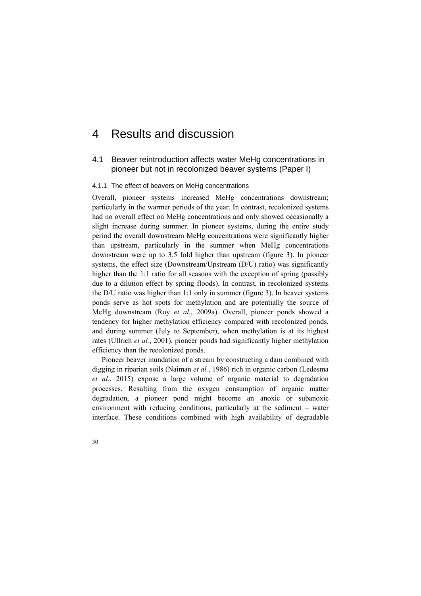# 4 Results and discussion

### 4.1 Beaver reintroduction affects water MeHg concentrations in pioneer but not in recolonized beaver systems (Paper I)

#### 4.1.1 The effect of beavers on MeHg concentrations

Overall, pioneer systems increased MeHg concentrations downstream; particularly in the warmer periods of the year. In contrast, recolonized systems had no overall effect on MeHg concentrations and only showed occasionally a slight increase during summer. In pioneer systems, during the entire study period the overall downstream MeHg concentrations were significantly higher than upstream, particularly in the summer when MeHg concentrations downstream were up to 3.5 fold higher than upstream (figure 3). In pioneer systems, the effect size (Downstream/Upstream (D/U) ratio) was significantly higher than the 1:1 ratio for all seasons with the exception of spring (possibly due to a dilution effect by spring floods). In contrast, in recolonized systems the D/U ratio was higher than 1:1 only in summer (figure 3). In beaver systems ponds serve as hot spots for methylation and are potentially the source of MeHg downstream (Roy *et al.*, 2009a). Overall, pioneer ponds showed a tendency for higher methylation efficiency compared with recolonized ponds, and during summer (July to September), when methylation is at its highest rates (Ullrich *et al.*, 2001), pioneer ponds had significantly higher methylation efficiency than the recolonized ponds.

Pioneer beaver inundation of a stream by constructing a dam combined with digging in riparian soils (Naiman *et al.*, 1986) rich in organic carbon (Ledesma *et al.*, 2015) expose a large volume of organic material to degradation processes. Resulting from the oxygen consumption of organic matter degradation, a pioneer pond might become an anoxic or subanoxic environment with reducing conditions, particularly at the sediment – water interface. These conditions combined with high availability of degradable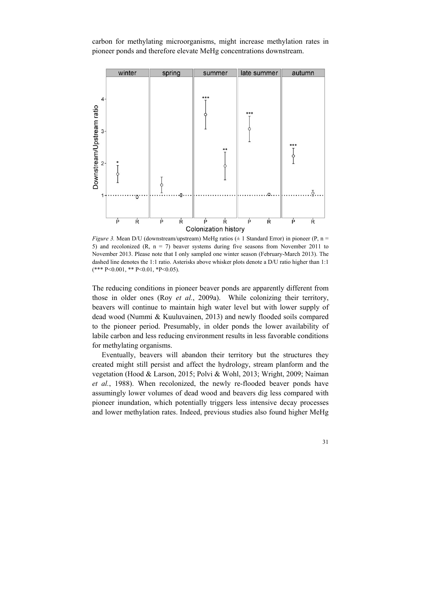carbon for methylating microorganisms, might increase methylation rates in pioneer ponds and therefore elevate MeHg concentrations downstream.



*Figure 3.* Mean D/U (downstream/upstream) MeHg ratios  $(\pm 1)$  Standard Error) in pioneer (P, n = 5) and recolonized (R,  $n = 7$ ) beaver systems during five seasons from November 2011 to November 2013. Please note that I only sampled one winter season (February-March 2013). The dashed line denotes the 1:1 ratio. Asterisks above whisker plots denote a D/U ratio higher than 1:1  $(*** P < 0.001, ** P < 0.01, *P < 0.05).$ 

The reducing conditions in pioneer beaver ponds are apparently different from those in older ones (Roy *et al.*, 2009a). While colonizing their territory, beavers will continue to maintain high water level but with lower supply of dead wood (Nummi & Kuuluvainen, 2013) and newly flooded soils compared to the pioneer period. Presumably, in older ponds the lower availability of labile carbon and less reducing environment results in less favorable conditions for methylating organisms.

Eventually, beavers will abandon their territory but the structures they created might still persist and affect the hydrology, stream planform and the vegetation (Hood & Larson, 2015; Polvi & Wohl, 2013; Wright, 2009; Naiman *et al.*, 1988). When recolonized, the newly re-flooded beaver ponds have assumingly lower volumes of dead wood and beavers dig less compared with pioneer inundation, which potentially triggers less intensive decay processes and lower methylation rates. Indeed, previous studies also found higher MeHg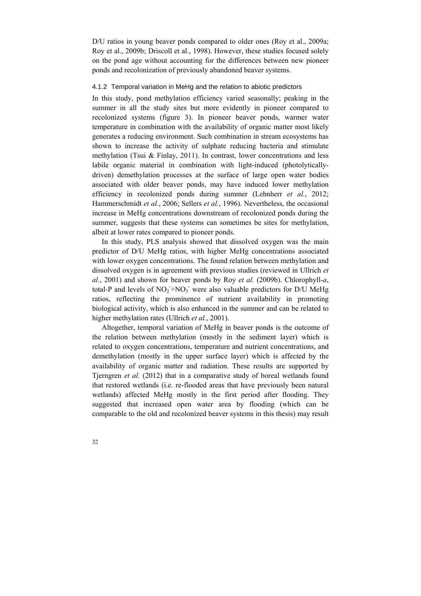D/U ratios in young beaver ponds compared to older ones (Roy et al., 2009a; Roy et al., 2009b; Driscoll et al., 1998). However, these studies focused solely on the pond age without accounting for the differences between new pioneer ponds and recolonization of previously abandoned beaver systems.

#### 4.1.2 Temporal variation in MeHg and the relation to abiotic predictors

In this study, pond methylation efficiency varied seasonally; peaking in the summer in all the study sites but more evidently in pioneer compared to recolonized systems (figure 3). In pioneer beaver ponds, warmer water temperature in combination with the availability of organic matter most likely generates a reducing environment. Such combination in stream ecosystems has shown to increase the activity of sulphate reducing bacteria and stimulate methylation (Tsui & Finlay, 2011). In contrast, lower concentrations and less labile organic material in combination with light-induced (photolyticallydriven) demethylation processes at the surface of large open water bodies associated with older beaver ponds, may have induced lower methylation efficiency in recolonized ponds during summer (Lehnherr *et al.*, 2012; Hammerschmidt *et al.*, 2006; Sellers *et al.*, 1996). Nevertheless, the occasional increase in MeHg concentrations downstream of recolonized ponds during the summer, suggests that these systems can sometimes be sites for methylation, albeit at lower rates compared to pioneer ponds.

In this study, PLS analysis showed that dissolved oxygen was the main predictor of D/U MeHg ratios, with higher MeHg concentrations associated with lower oxygen concentrations. The found relation between methylation and dissolved oxygen is in agreement with previous studies (reviewed in Ullrich *et al.*, 2001) and shown for beaver ponds by Roy *et al.* (2009b). Chlorophyll-*a*, total-P and levels of  $NO_2^- + NO_3^-$  were also valuable predictors for D/U MeHg ratios, reflecting the prominence of nutrient availability in promoting biological activity, which is also enhanced in the summer and can be related to higher methylation rates (Ullrich *et al.*, 2001).

Altogether, temporal variation of MeHg in beaver ponds is the outcome of the relation between methylation (mostly in the sediment layer) which is related to oxygen concentrations, temperature and nutrient concentrations, and demethylation (mostly in the upper surface layer) which is affected by the availability of organic matter and radiation. These results are supported by Tjerngren *et al.* (2012) that in a comparative study of boreal wetlands found that restored wetlands (i.e. re-flooded areas that have previously been natural wetlands) affected MeHg mostly in the first period after flooding. They suggested that increased open water area by flooding (which can be comparable to the old and recolonized beaver systems in this thesis) may result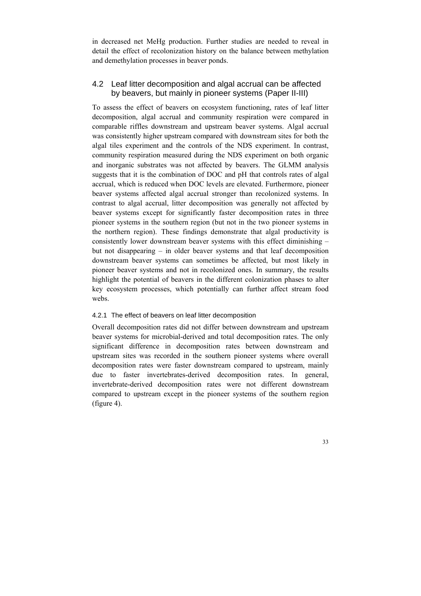in decreased net MeHg production. Further studies are needed to reveal in detail the effect of recolonization history on the balance between methylation and demethylation processes in beaver ponds.

## 4.2 Leaf litter decomposition and algal accrual can be affected by beavers, but mainly in pioneer systems (Paper II-III)

To assess the effect of beavers on ecosystem functioning, rates of leaf litter decomposition, algal accrual and community respiration were compared in comparable riffles downstream and upstream beaver systems. Algal accrual was consistently higher upstream compared with downstream sites for both the algal tiles experiment and the controls of the NDS experiment. In contrast, community respiration measured during the NDS experiment on both organic and inorganic substrates was not affected by beavers. The GLMM analysis suggests that it is the combination of DOC and pH that controls rates of algal accrual, which is reduced when DOC levels are elevated. Furthermore, pioneer beaver systems affected algal accrual stronger than recolonized systems. In contrast to algal accrual, litter decomposition was generally not affected by beaver systems except for significantly faster decomposition rates in three pioneer systems in the southern region (but not in the two pioneer systems in the northern region). These findings demonstrate that algal productivity is consistently lower downstream beaver systems with this effect diminishing – but not disappearing – in older beaver systems and that leaf decomposition downstream beaver systems can sometimes be affected, but most likely in pioneer beaver systems and not in recolonized ones. In summary, the results highlight the potential of beavers in the different colonization phases to alter key ecosystem processes, which potentially can further affect stream food webs.

#### 4.2.1 The effect of beavers on leaf litter decomposition

Overall decomposition rates did not differ between downstream and upstream beaver systems for microbial-derived and total decomposition rates. The only significant difference in decomposition rates between downstream and upstream sites was recorded in the southern pioneer systems where overall decomposition rates were faster downstream compared to upstream, mainly due to faster invertebrates-derived decomposition rates. In general, invertebrate-derived decomposition rates were not different downstream compared to upstream except in the pioneer systems of the southern region (figure 4).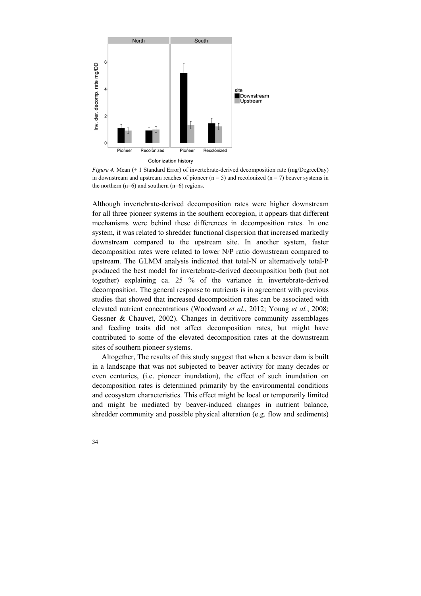

*Figure 4.* Mean ( $\pm$  1 Standard Error) of invertebrate-derived decomposition rate (mg/DegreeDay) in downstream and upstream reaches of pioneer  $(n = 5)$  and recolonized  $(n = 7)$  beaver systems in the northern  $(n=6)$  and southern  $(n=6)$  regions.

Although invertebrate-derived decomposition rates were higher downstream for all three pioneer systems in the southern ecoregion, it appears that different mechanisms were behind these differences in decomposition rates. In one system, it was related to shredder functional dispersion that increased markedly downstream compared to the upstream site. In another system, faster decomposition rates were related to lower N/P ratio downstream compared to upstream. The GLMM analysis indicated that total-N or alternatively total-P produced the best model for invertebrate-derived decomposition both (but not together) explaining ca. 25 % of the variance in invertebrate-derived decomposition. The general response to nutrients is in agreement with previous studies that showed that increased decomposition rates can be associated with elevated nutrient concentrations (Woodward *et al.*, 2012; Young *et al.*, 2008; Gessner & Chauvet, 2002). Changes in detritivore community assemblages and feeding traits did not affect decomposition rates, but might have contributed to some of the elevated decomposition rates at the downstream sites of southern pioneer systems.

Altogether, The results of this study suggest that when a beaver dam is built in a landscape that was not subjected to beaver activity for many decades or even centuries, (i.e. pioneer inundation), the effect of such inundation on decomposition rates is determined primarily by the environmental conditions and ecosystem characteristics. This effect might be local or temporarily limited and might be mediated by beaver-induced changes in nutrient balance, shredder community and possible physical alteration (e.g. flow and sediments)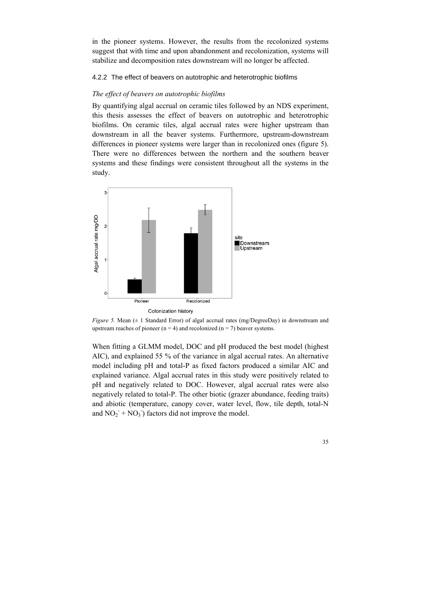in the pioneer systems. However, the results from the recolonized systems suggest that with time and upon abandonment and recolonization, systems will stabilize and decomposition rates downstream will no longer be affected.

#### 4.2.2 The effect of beavers on autotrophic and heterotrophic biofilms

#### *The effect of beavers on autotrophic biofilms*

By quantifying algal accrual on ceramic tiles followed by an NDS experiment, this thesis assesses the effect of beavers on autotrophic and heterotrophic biofilms. On ceramic tiles, algal accrual rates were higher upstream than downstream in all the beaver systems. Furthermore, upstream-downstream differences in pioneer systems were larger than in recolonized ones (figure 5). There were no differences between the northern and the southern beaver systems and these findings were consistent throughout all the systems in the study.



*Figure 5.* Mean ( $\pm$  1 Standard Error) of algal accrual rates (mg/DegreeDay) in downstream and upstream reaches of pioneer ( $n = 4$ ) and recolonized ( $n = 7$ ) beaver systems.

When fitting a GLMM model, DOC and pH produced the best model (highest AIC), and explained 55 % of the variance in algal accrual rates. An alternative model including pH and total-P as fixed factors produced a similar AIC and explained variance. Algal accrual rates in this study were positively related to pH and negatively related to DOC. However, algal accrual rates were also negatively related to total-P. The other biotic (grazer abundance, feeding traits) and abiotic (temperature, canopy cover, water level, flow, tile depth, total-N and  $NO_2^- + NO_3^-$ ) factors did not improve the model.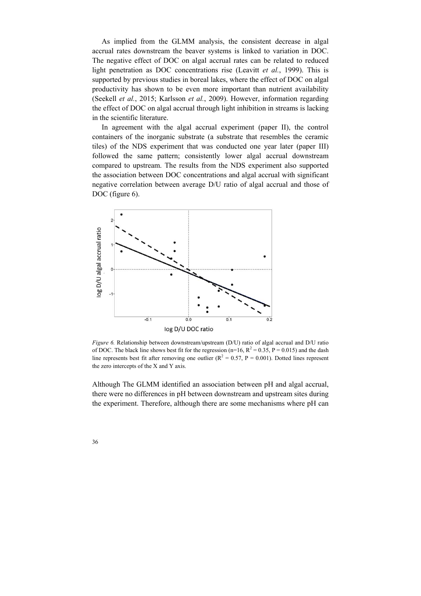As implied from the GLMM analysis, the consistent decrease in algal accrual rates downstream the beaver systems is linked to variation in DOC. The negative effect of DOC on algal accrual rates can be related to reduced light penetration as DOC concentrations rise (Leavitt *et al.*, 1999). This is supported by previous studies in boreal lakes, where the effect of DOC on algal productivity has shown to be even more important than nutrient availability (Seekell *et al.*, 2015; Karlsson *et al.*, 2009). However, information regarding the effect of DOC on algal accrual through light inhibition in streams is lacking in the scientific literature.

In agreement with the algal accrual experiment (paper II), the control containers of the inorganic substrate (a substrate that resembles the ceramic tiles) of the NDS experiment that was conducted one year later (paper III) followed the same pattern; consistently lower algal accrual downstream compared to upstream. The results from the NDS experiment also supported the association between DOC concentrations and algal accrual with significant negative correlation between average D/U ratio of algal accrual and those of DOC (figure 6).



*Figure 6.* Relationship between downstream/upstream (D/U) ratio of algal accrual and D/U ratio of DOC. The black line shows best fit for the regression (n=16,  $R^2 = 0.35$ , P = 0.015) and the dash line represents best fit after removing one outlier ( $R^2 = 0.57$ ,  $P = 0.001$ ). Dotted lines represent the zero intercepts of the X and Y axis.

Although The GLMM identified an association between pH and algal accrual, there were no differences in pH between downstream and upstream sites during the experiment. Therefore, although there are some mechanisms where pH can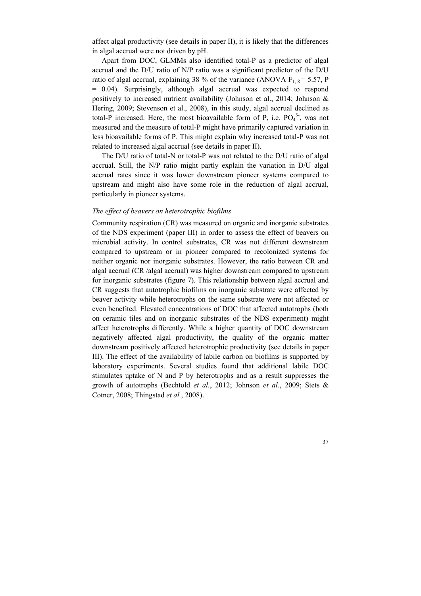affect algal productivity (see details in paper II), it is likely that the differences in algal accrual were not driven by pH.

Apart from DOC, GLMMs also identified total-P as a predictor of algal accrual and the D/U ratio of N/P ratio was a significant predictor of the D/U ratio of algal accrual, explaining 38 % of the variance (ANOVA  $F_{1, 8} = 5.57$ , P = 0.04). Surprisingly, although algal accrual was expected to respond positively to increased nutrient availability (Johnson et al., 2014; Johnson & Hering, 2009; Stevenson et al., 2008), in this study, algal accrual declined as total-P increased. Here, the most bioavailable form of P, i.e.  $PO_4^{3}$ , was not measured and the measure of total-P might have primarily captured variation in less bioavailable forms of P. This might explain why increased total-P was not related to increased algal accrual (see details in paper II).

The D/U ratio of total-N or total-P was not related to the D/U ratio of algal accrual. Still, the N/P ratio might partly explain the variation in D/U algal accrual rates since it was lower downstream pioneer systems compared to upstream and might also have some role in the reduction of algal accrual, particularly in pioneer systems.

#### *The effect of beavers on heterotrophic biofilms*

Community respiration (CR) was measured on organic and inorganic substrates of the NDS experiment (paper III) in order to assess the effect of beavers on microbial activity. In control substrates, CR was not different downstream compared to upstream or in pioneer compared to recolonized systems for neither organic nor inorganic substrates. However, the ratio between CR and algal accrual (CR /algal accrual) was higher downstream compared to upstream for inorganic substrates (figure 7). This relationship between algal accrual and CR suggests that autotrophic biofilms on inorganic substrate were affected by beaver activity while heterotrophs on the same substrate were not affected or even benefited. Elevated concentrations of DOC that affected autotrophs (both on ceramic tiles and on inorganic substrates of the NDS experiment) might affect heterotrophs differently. While a higher quantity of DOC downstream negatively affected algal productivity, the quality of the organic matter downstream positively affected heterotrophic productivity (see details in paper III). The effect of the availability of labile carbon on biofilms is supported by laboratory experiments. Several studies found that additional labile DOC stimulates uptake of N and P by heterotrophs and as a result suppresses the growth of autotrophs (Bechtold *et al.*, 2012; Johnson *et al.*, 2009; Stets & Cotner, 2008; Thingstad *et al.*, 2008).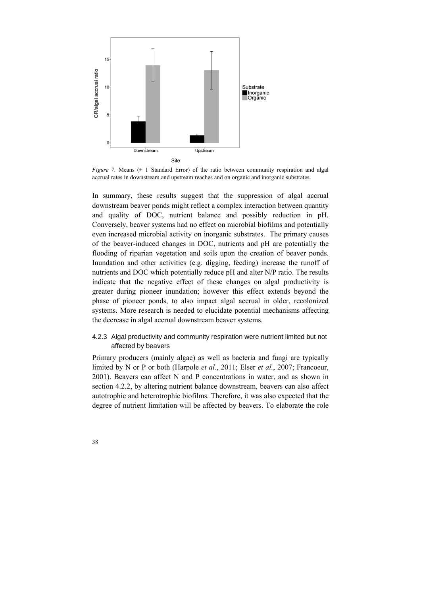

*Figure 7.* Means  $(\pm 1)$  Standard Error) of the ratio between community respiration and algal accrual rates in downstream and upstream reaches and on organic and inorganic substrates.

In summary, these results suggest that the suppression of algal accrual downstream beaver ponds might reflect a complex interaction between quantity and quality of DOC, nutrient balance and possibly reduction in pH. Conversely, beaver systems had no effect on microbial biofilms and potentially even increased microbial activity on inorganic substrates. The primary causes of the beaver-induced changes in DOC, nutrients and pH are potentially the flooding of riparian vegetation and soils upon the creation of beaver ponds. Inundation and other activities (e.g. digging, feeding) increase the runoff of nutrients and DOC which potentially reduce pH and alter N/P ratio. The results indicate that the negative effect of these changes on algal productivity is greater during pioneer inundation; however this effect extends beyond the phase of pioneer ponds, to also impact algal accrual in older, recolonized systems. More research is needed to elucidate potential mechanisms affecting the decrease in algal accrual downstream beaver systems.

### 4.2.3 Algal productivity and community respiration were nutrient limited but not affected by beavers

Primary producers (mainly algae) as well as bacteria and fungi are typically limited by N or P or both (Harpole *et al.*, 2011; Elser *et al.*, 2007; Francoeur, 2001). Beavers can affect N and P concentrations in water, and as shown in section 4.2.2, by altering nutrient balance downstream, beavers can also affect autotrophic and heterotrophic biofilms. Therefore, it was also expected that the degree of nutrient limitation will be affected by beavers. To elaborate the role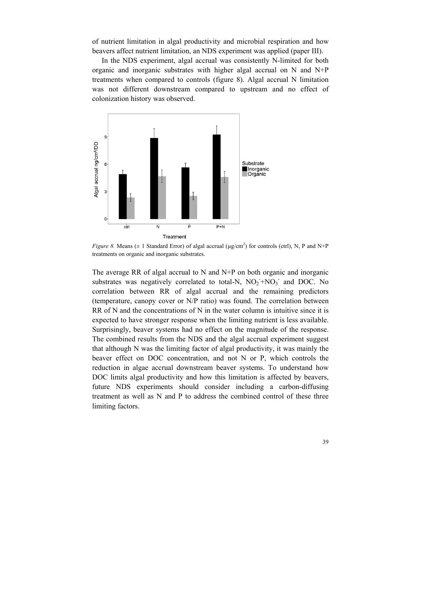of nutrient limitation in algal productivity and microbial respiration and how beavers affect nutrient limitation, an NDS experiment was applied (paper III).

In the NDS experiment, algal accrual was consistently N-limited for both organic and inorganic substrates with higher algal accrual on N and N+P treatments when compared to controls (figure 8). Algal accrual N limitation was not different downstream compared to upstream and no effect of colonization history was observed.



*Figure 8.* Means ( $\pm$  1 Standard Error) of algal accrual ( $\mu$ g/cm<sup>2</sup>) for controls (ctrl), N, P and N+P treatments on organic and inorganic substrates.

The average RR of algal accrual to N and N+P on both organic and inorganic substrates was negatively correlated to total-N,  $NO<sub>2</sub><sup>-</sup>NO<sub>3</sub><sup>-</sup>$  and DOC. No correlation between RR of algal accrual and the remaining predictors (temperature, canopy cover or N/P ratio) was found. The correlation between RR of N and the concentrations of N in the water column is intuitive since it is expected to have stronger response when the limiting nutrient is less available. Surprisingly, beaver systems had no effect on the magnitude of the response. The combined results from the NDS and the algal accrual experiment suggest that although N was the limiting factor of algal productivity, it was mainly the beaver effect on DOC concentration, and not N or P, which controls the reduction in algae accrual downstream beaver systems. To understand how DOC limits algal productivity and how this limitation is affected by beavers, future NDS experiments should consider including a carbon-diffusing treatment as well as N and P to address the combined control of these three limiting factors.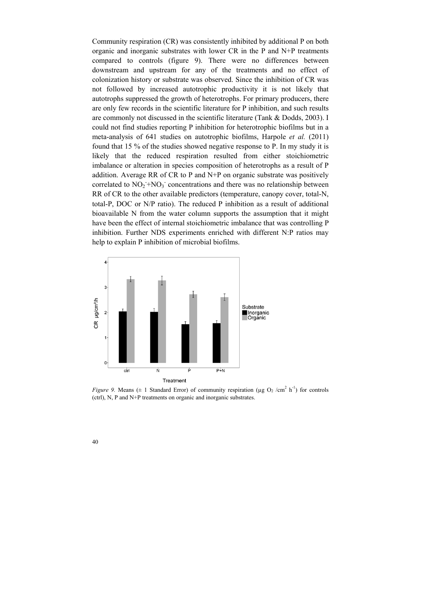Community respiration (CR) was consistently inhibited by additional P on both organic and inorganic substrates with lower CR in the P and N+P treatments compared to controls (figure 9). There were no differences between downstream and upstream for any of the treatments and no effect of colonization history or substrate was observed. Since the inhibition of CR was not followed by increased autotrophic productivity it is not likely that autotrophs suppressed the growth of heterotrophs. For primary producers, there are only few records in the scientific literature for P inhibition, and such results are commonly not discussed in the scientific literature (Tank & Dodds, 2003). I could not find studies reporting P inhibition for heterotrophic biofilms but in a meta-analysis of 641 studies on autotrophic biofilms, Harpole *et al.* (2011) found that 15 % of the studies showed negative response to P. In my study it is likely that the reduced respiration resulted from either stoichiometric imbalance or alteration in species composition of heterotrophs as a result of P addition. Average RR of CR to P and N+P on organic substrate was positively correlated to  $NO_2^- + NO_3^-$  concentrations and there was no relationship between RR of CR to the other available predictors (temperature, canopy cover, total-N, total-P, DOC or N/P ratio). The reduced P inhibition as a result of additional bioavailable N from the water column supports the assumption that it might have been the effect of internal stoichiometric imbalance that was controlling P inhibition. Further NDS experiments enriched with different N:P ratios may help to explain P inhibition of microbial biofilms.



*Figure 9.* Means ( $\pm$  1 Standard Error) of community respiration ( $\mu$ g O<sub>2</sub> /cm<sup>2</sup> h<sup>-1</sup>) for controls (ctrl), N, P and N+P treatments on organic and inorganic substrates.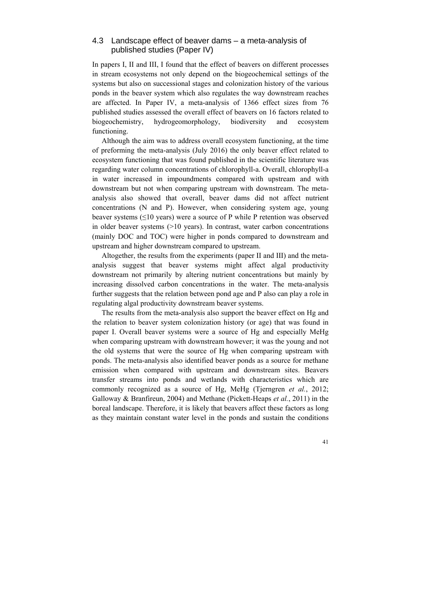### 4.3 Landscape effect of beaver dams – a meta-analysis of published studies (Paper IV)

In papers I, II and III, I found that the effect of beavers on different processes in stream ecosystems not only depend on the biogeochemical settings of the systems but also on successional stages and colonization history of the various ponds in the beaver system which also regulates the way downstream reaches are affected. In Paper IV, a meta-analysis of 1366 effect sizes from 76 published studies assessed the overall effect of beavers on 16 factors related to biogeochemistry, hydrogeomorphology, biodiversity and ecosystem functioning.

Although the aim was to address overall ecosystem functioning, at the time of preforming the meta-analysis (July 2016) the only beaver effect related to ecosystem functioning that was found published in the scientific literature was regarding water column concentrations of chlorophyll-a. Overall, chlorophyll-a in water increased in impoundments compared with upstream and with downstream but not when comparing upstream with downstream. The metaanalysis also showed that overall, beaver dams did not affect nutrient concentrations (N and P). However, when considering system age, young beaver systems  $(\leq 10 \text{ years})$  were a source of P while P retention was observed in older beaver systems (>10 years). In contrast, water carbon concentrations (mainly DOC and TOC) were higher in ponds compared to downstream and upstream and higher downstream compared to upstream.

Altogether, the results from the experiments (paper II and III) and the metaanalysis suggest that beaver systems might affect algal productivity downstream not primarily by altering nutrient concentrations but mainly by increasing dissolved carbon concentrations in the water. The meta-analysis further suggests that the relation between pond age and P also can play a role in regulating algal productivity downstream beaver systems.

The results from the meta-analysis also support the beaver effect on Hg and the relation to beaver system colonization history (or age) that was found in paper I. Overall beaver systems were a source of Hg and especially MeHg when comparing upstream with downstream however; it was the young and not the old systems that were the source of Hg when comparing upstream with ponds. The meta-analysis also identified beaver ponds as a source for methane emission when compared with upstream and downstream sites. Beavers transfer streams into ponds and wetlands with characteristics which are commonly recognized as a source of Hg, MeHg (Tjerngren *et al.*, 2012; Galloway & Branfireun, 2004) and Methane (Pickett-Heaps *et al.*, 2011) in the boreal landscape. Therefore, it is likely that beavers affect these factors as long as they maintain constant water level in the ponds and sustain the conditions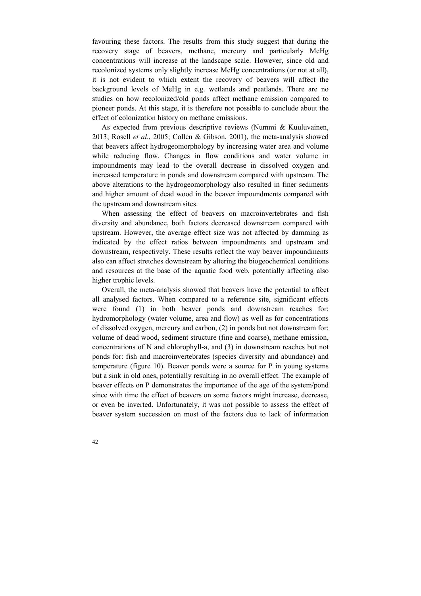favouring these factors. The results from this study suggest that during the recovery stage of beavers, methane, mercury and particularly MeHg concentrations will increase at the landscape scale. However, since old and recolonized systems only slightly increase MeHg concentrations (or not at all), it is not evident to which extent the recovery of beavers will affect the background levels of MeHg in e.g. wetlands and peatlands. There are no studies on how recolonized/old ponds affect methane emission compared to pioneer ponds. At this stage, it is therefore not possible to conclude about the effect of colonization history on methane emissions.

As expected from previous descriptive reviews (Nummi & Kuuluvainen, 2013; Rosell *et al.*, 2005; Collen & Gibson, 2001), the meta-analysis showed that beavers affect hydrogeomorphology by increasing water area and volume while reducing flow. Changes in flow conditions and water volume in impoundments may lead to the overall decrease in dissolved oxygen and increased temperature in ponds and downstream compared with upstream. The above alterations to the hydrogeomorphology also resulted in finer sediments and higher amount of dead wood in the beaver impoundments compared with the upstream and downstream sites.

When assessing the effect of beavers on macroinvertebrates and fish diversity and abundance, both factors decreased downstream compared with upstream. However, the average effect size was not affected by damming as indicated by the effect ratios between impoundments and upstream and downstream, respectively. These results reflect the way beaver impoundments also can affect stretches downstream by altering the biogeochemical conditions and resources at the base of the aquatic food web, potentially affecting also higher trophic levels.

Overall, the meta-analysis showed that beavers have the potential to affect all analysed factors. When compared to a reference site, significant effects were found (1) in both beaver ponds and downstream reaches for: hydromorphology (water volume, area and flow) as well as for concentrations of dissolved oxygen, mercury and carbon, (2) in ponds but not downstream for: volume of dead wood, sediment structure (fine and coarse), methane emission, concentrations of N and chlorophyll-a, and (3) in downstream reaches but not ponds for: fish and macroinvertebrates (species diversity and abundance) and temperature (figure 10). Beaver ponds were a source for P in young systems but a sink in old ones, potentially resulting in no overall effect. The example of beaver effects on P demonstrates the importance of the age of the system/pond since with time the effect of beavers on some factors might increase, decrease, or even be inverted. Unfortunately, it was not possible to assess the effect of beaver system succession on most of the factors due to lack of information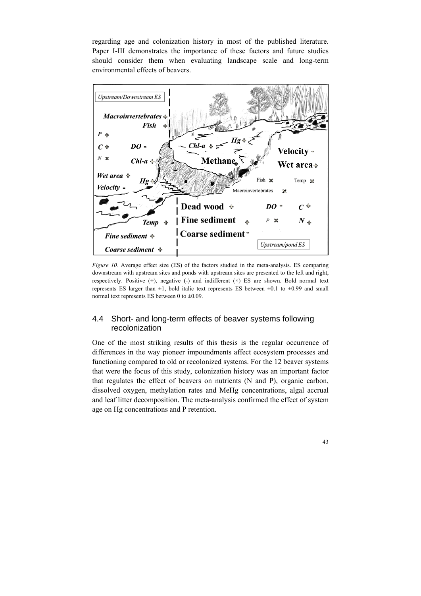regarding age and colonization history in most of the published literature. Paper I-III demonstrates the importance of these factors and future studies should consider them when evaluating landscape scale and long-term environmental effects of beavers.



*Figure 10.* Average effect size (ES) of the factors studied in the meta-analysis. ES comparing downstream with upstream sites and ponds with upstream sites are presented to the left and right, respectively. Positive (+), negative (-) and indifferent (×) ES are shown. Bold normal text represents ES larger than  $\pm 1$ , bold italic text represents ES between  $\pm 0.1$  to  $\pm 0.99$  and small normal text represents ES between 0 to  $\pm 0.09$ .

# 4.4 Short- and long-term effects of beaver systems following recolonization

One of the most striking results of this thesis is the regular occurrence of differences in the way pioneer impoundments affect ecosystem processes and functioning compared to old or recolonized systems. For the 12 beaver systems that were the focus of this study, colonization history was an important factor that regulates the effect of beavers on nutrients (N and P), organic carbon, dissolved oxygen, methylation rates and MeHg concentrations, algal accrual and leaf litter decomposition. The meta-analysis confirmed the effect of system age on Hg concentrations and P retention.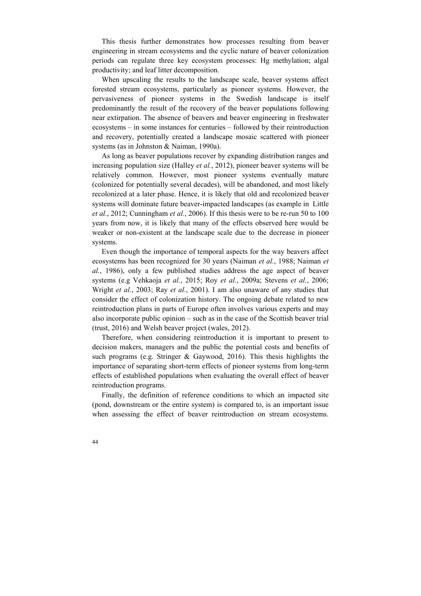This thesis further demonstrates how processes resulting from beaver engineering in stream ecosystems and the cyclic nature of beaver colonization periods can regulate three key ecosystem processes: Hg methylation; algal productivity; and leaf litter decomposition.

When upscaling the results to the landscape scale, beaver systems affect forested stream ecosystems, particularly as pioneer systems. However, the pervasiveness of pioneer systems in the Swedish landscape is itself predominantly the result of the recovery of the beaver populations following near extirpation. The absence of beavers and beaver engineering in freshwater ecosystems – in some instances for centuries – followed by their reintroduction and recovery, potentially created a landscape mosaic scattered with pioneer systems (as in Johnston & Naiman, 1990a).

As long as beaver populations recover by expanding distribution ranges and increasing population size (Halley *et al.*, 2012), pioneer beaver systems will be relatively common. However, most pioneer systems eventually mature (colonized for potentially several decades), will be abandoned, and most likely recolonized at a later phase. Hence, it is likely that old and recolonized beaver systems will dominate future beaver-impacted landscapes (as example in Little *et al.*, 2012; Cunningham *et al.*, 2006). If this thesis were to be re-run 50 to 100 years from now, it is likely that many of the effects observed here would be weaker or non-existent at the landscape scale due to the decrease in pioneer systems.

Even though the importance of temporal aspects for the way beavers affect ecosystems has been recognized for 30 years (Naiman *et al.*, 1988; Naiman *et al.*, 1986), only a few published studies address the age aspect of beaver systems (e.g Vehkaoja *et al.*, 2015; Roy *et al.*, 2009a; Stevens *et al.*, 2006; Wright *et al.*, 2003; Ray *et al.*, 2001). I am also unaware of any studies that consider the effect of colonization history. The ongoing debate related to new reintroduction plans in parts of Europe often involves various experts and may also incorporate public opinion – such as in the case of the Scottish beaver trial (trust, 2016) and Welsh beaver project (wales, 2012).

Therefore, when considering reintroduction it is important to present to decision makers, managers and the public the potential costs and benefits of such programs (e.g. Stringer & Gaywood, 2016). This thesis highlights the importance of separating short-term effects of pioneer systems from long-term effects of established populations when evaluating the overall effect of beaver reintroduction programs.

Finally, the definition of reference conditions to which an impacted site (pond, downstream or the entire system) is compared to, is an important issue when assessing the effect of beaver reintroduction on stream ecosystems.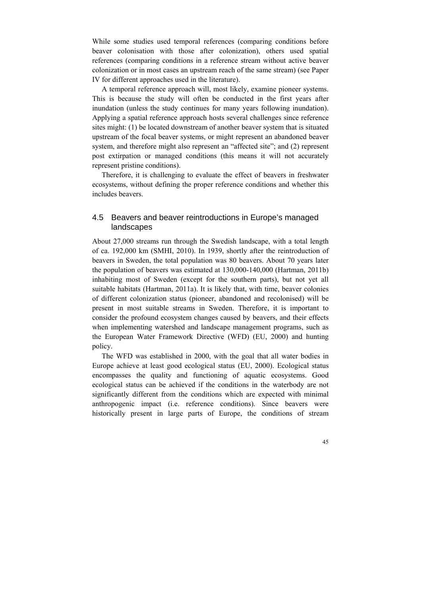While some studies used temporal references (comparing conditions before beaver colonisation with those after colonization), others used spatial references (comparing conditions in a reference stream without active beaver colonization or in most cases an upstream reach of the same stream) (see Paper IV for different approaches used in the literature).

A temporal reference approach will, most likely, examine pioneer systems. This is because the study will often be conducted in the first years after inundation (unless the study continues for many years following inundation). Applying a spatial reference approach hosts several challenges since reference sites might: (1) be located downstream of another beaver system that is situated upstream of the focal beaver systems, or might represent an abandoned beaver system, and therefore might also represent an "affected site"; and (2) represent post extirpation or managed conditions (this means it will not accurately represent pristine conditions).

Therefore, it is challenging to evaluate the effect of beavers in freshwater ecosystems, without defining the proper reference conditions and whether this includes beavers.

## 4.5 Beavers and beaver reintroductions in Europe's managed landscapes

About 27,000 streams run through the Swedish landscape, with a total length of ca. 192,000 km (SMHI, 2010). In 1939, shortly after the reintroduction of beavers in Sweden, the total population was 80 beavers. About 70 years later the population of beavers was estimated at 130,000-140,000 (Hartman, 2011b) inhabiting most of Sweden (except for the southern parts), but not yet all suitable habitats (Hartman, 2011a). It is likely that, with time, beaver colonies of different colonization status (pioneer, abandoned and recolonised) will be present in most suitable streams in Sweden. Therefore, it is important to consider the profound ecosystem changes caused by beavers, and their effects when implementing watershed and landscape management programs, such as the European Water Framework Directive (WFD) (EU, 2000) and hunting policy.

The WFD was established in 2000, with the goal that all water bodies in Europe achieve at least good ecological status (EU, 2000). Ecological status encompasses the quality and functioning of aquatic ecosystems. Good ecological status can be achieved if the conditions in the waterbody are not significantly different from the conditions which are expected with minimal anthropogenic impact (i.e. reference conditions). Since beavers were historically present in large parts of Europe, the conditions of stream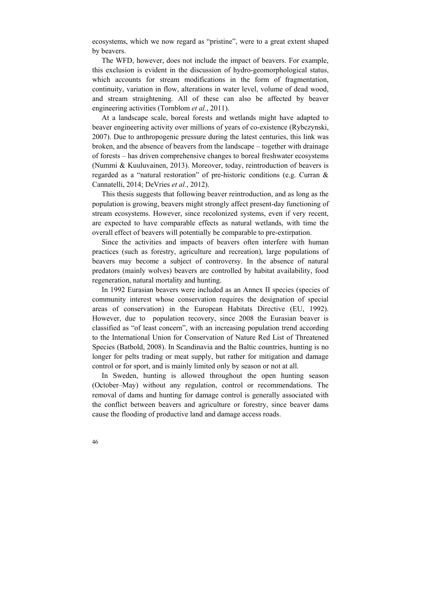ecosystems, which we now regard as "pristine", were to a great extent shaped by beavers.

The WFD, however, does not include the impact of beavers. For example, this exclusion is evident in the discussion of hydro-geomorphological status, which accounts for stream modifications in the form of fragmentation, continuity, variation in flow, alterations in water level, volume of dead wood, and stream straightening. All of these can also be affected by beaver engineering activities (Tornblom *et al.*, 2011).

At a landscape scale, boreal forests and wetlands might have adapted to beaver engineering activity over millions of years of co-existence (Rybczynski, 2007). Due to anthropogenic pressure during the latest centuries, this link was broken, and the absence of beavers from the landscape – together with drainage of forests – has driven comprehensive changes to boreal freshwater ecosystems (Nummi & Kuuluvainen, 2013). Moreover, today, reintroduction of beavers is regarded as a "natural restoration" of pre-historic conditions (e.g. Curran & Cannatelli, 2014; DeVries *et al.*, 2012).

This thesis suggests that following beaver reintroduction, and as long as the population is growing, beavers might strongly affect present-day functioning of stream ecosystems. However, since recolonized systems, even if very recent, are expected to have comparable effects as natural wetlands, with time the overall effect of beavers will potentially be comparable to pre-extirpation.

Since the activities and impacts of beavers often interfere with human practices (such as forestry, agriculture and recreation), large populations of beavers may become a subject of controversy. In the absence of natural predators (mainly wolves) beavers are controlled by habitat availability, food regeneration, natural mortality and hunting.

In 1992 Eurasian beavers were included as an Annex II species (species of community interest whose conservation requires the designation of special areas of conservation) in the European Habitats Directive (EU, 1992). However, due to population recovery, since 2008 the Eurasian beaver is classified as "of least concern", with an increasing population trend according to the International Union for Conservation of Nature Red List of Threatened Species (Batbold, 2008). In Scandinavia and the Baltic countries, hunting is no longer for pelts trading or meat supply, but rather for mitigation and damage control or for sport, and is mainly limited only by season or not at all.

In Sweden, hunting is allowed throughout the open hunting season (October–May) without any regulation, control or recommendations. The removal of dams and hunting for damage control is generally associated with the conflict between beavers and agriculture or forestry, since beaver dams cause the flooding of productive land and damage access roads.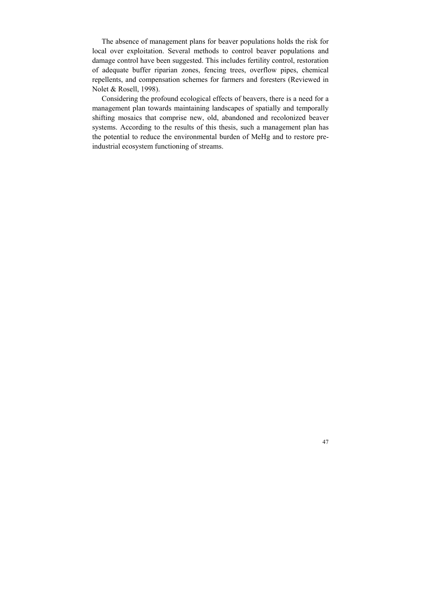The absence of management plans for beaver populations holds the risk for local over exploitation. Several methods to control beaver populations and damage control have been suggested. This includes fertility control, restoration of adequate buffer riparian zones, fencing trees, overflow pipes, chemical repellents, and compensation schemes for farmers and foresters (Reviewed in Nolet & Rosell, 1998).

Considering the profound ecological effects of beavers, there is a need for a management plan towards maintaining landscapes of spatially and temporally shifting mosaics that comprise new, old, abandoned and recolonized beaver systems. According to the results of this thesis, such a management plan has the potential to reduce the environmental burden of MeHg and to restore preindustrial ecosystem functioning of streams.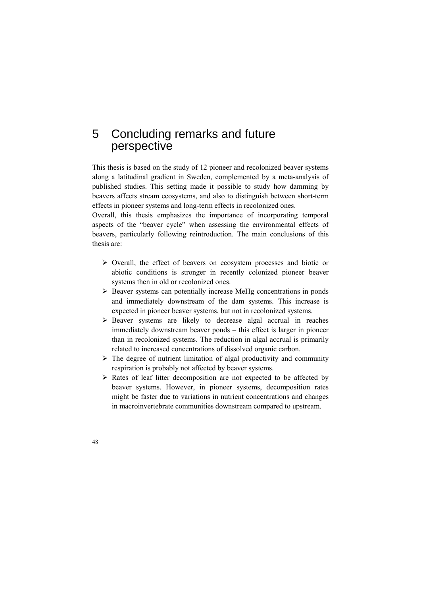# 5 Concluding remarks and future perspective

This thesis is based on the study of 12 pioneer and recolonized beaver systems along a latitudinal gradient in Sweden, complemented by a meta-analysis of published studies. This setting made it possible to study how damming by beavers affects stream ecosystems, and also to distinguish between short-term effects in pioneer systems and long-term effects in recolonized ones.

Overall, this thesis emphasizes the importance of incorporating temporal aspects of the "beaver cycle" when assessing the environmental effects of beavers, particularly following reintroduction. The main conclusions of this thesis are:

- $\triangleright$  Overall, the effect of beavers on ecosystem processes and biotic or abiotic conditions is stronger in recently colonized pioneer beaver systems then in old or recolonized ones.
- $\triangleright$  Beaver systems can potentially increase MeHg concentrations in ponds and immediately downstream of the dam systems. This increase is expected in pioneer beaver systems, but not in recolonized systems.
- $\triangleright$  Beaver systems are likely to decrease algal accrual in reaches immediately downstream beaver ponds – this effect is larger in pioneer than in recolonized systems. The reduction in algal accrual is primarily related to increased concentrations of dissolved organic carbon.
- $\triangleright$  The degree of nutrient limitation of algal productivity and community respiration is probably not affected by beaver systems.
- $\triangleright$  Rates of leaf litter decomposition are not expected to be affected by beaver systems. However, in pioneer systems, decomposition rates might be faster due to variations in nutrient concentrations and changes in macroinvertebrate communities downstream compared to upstream.
- 48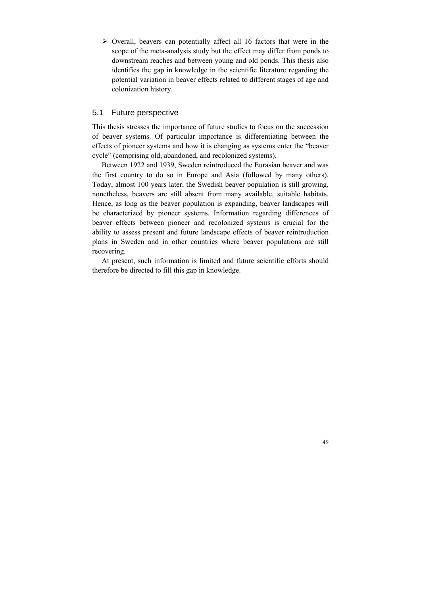$\triangleright$  Overall, beavers can potentially affect all 16 factors that were in the scope of the meta-analysis study but the effect may differ from ponds to downstream reaches and between young and old ponds. This thesis also identifies the gap in knowledge in the scientific literature regarding the potential variation in beaver effects related to different stages of age and colonization history.

#### 5.1 Future perspective

This thesis stresses the importance of future studies to focus on the succession of beaver systems. Of particular importance is differentiating between the effects of pioneer systems and how it is changing as systems enter the "beaver cycle" (comprising old, abandoned, and recolonized systems).

Between 1922 and 1939, Sweden reintroduced the Eurasian beaver and was the first country to do so in Europe and Asia (followed by many others). Today, almost 100 years later, the Swedish beaver population is still growing, nonetheless, beavers are still absent from many available, suitable habitats. Hence, as long as the beaver population is expanding, beaver landscapes will be characterized by pioneer systems. Information regarding differences of beaver effects between pioneer and recolonized systems is crucial for the ability to assess present and future landscape effects of beaver reintroduction plans in Sweden and in other countries where beaver populations are still recovering.

At present, such information is limited and future scientific efforts should therefore be directed to fill this gap in knowledge.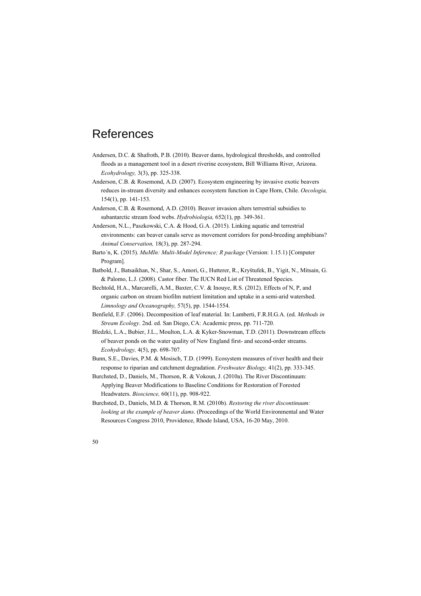# References

- Andersen, D.C. & Shafroth, P.B. (2010). Beaver dams, hydrological thresholds, and controlled floods as a management tool in a desert riverine ecosystem, Bill Williams River, Arizona. *Ecohydrology,* 3(3), pp. 325-338.
- Anderson, C.B. & Rosemond, A.D. (2007). Ecosystem engineering by invasive exotic beavers reduces in-stream diversity and enhances ecosystem function in Cape Horn, Chile. *Oecologia,*  154(1), pp. 141-153.
- Anderson, C.B. & Rosemond, A.D. (2010). Beaver invasion alters terrestrial subsidies to subantarctic stream food webs. *Hydrobiologia,* 652(1), pp. 349-361.
- Anderson, N.L., Paszkowski, C.A. & Hood, G.A. (2015). Linking aquatic and terrestrial environments: can beaver canals serve as movement corridors for pond-breeding amphibians? *Animal Conservation,* 18(3), pp. 287-294.
- Barto´n, K. (2015). *MuMIn: Multi-Model Inference; R package* (Version: 1.15.1) [Computer Program].
- Batbold, J., Batsaikhan, N., Shar, S., Amori, G., Hutterer, R., Kryštufek, B., Yigit, N., Mitsain, G. & Palomo, L.J. (2008). Castor fiber. The IUCN Red List of Threatened Species.
- Bechtold, H.A., Marcarelli, A.M., Baxter, C.V. & Inouye, R.S. (2012). Effects of N, P, and organic carbon on stream biofilm nutrient limitation and uptake in a semi-arid watershed. *Limnology and Oceanography,* 57(5), pp. 1544-1554.
- Benfield, E.F. (2006). Decomposition of leaf material. In: Lamberti, F.R.H.G.A. (ed. *Methods in Stream Ecology*. 2nd. ed. San Diego, CA: Academic press, pp. 711-720.
- Bledzki, L.A., Bubier, J.L., Moulton, L.A. & Kyker-Snowman, T.D. (2011). Downstream effects of beaver ponds on the water quality of New England first- and second-order streams. *Ecohydrology,* 4(5), pp. 698-707.
- Bunn, S.E., Davies, P.M. & Mosisch, T.D. (1999). Ecosystem measures of river health and their response to riparian and catchment degradation. *Freshwater Biology,* 41(2), pp. 333-345.
- Burchsted, D., Daniels, M., Thorson, R. & Vokoun, J. (2010a). The River Discontinuum: Applying Beaver Modifications to Baseline Conditions for Restoration of Forested Headwaters. *Bioscience,* 60(11), pp. 908-922.
- Burchsted, D., Daniels, M.D. & Thorson, R.M. (2010b). *Restoring the river discontinuum: looking at the example of beaver dams*. (Proceedings of the World Environmental and Water Resources Congress 2010, Providence, Rhode Island, USA, 16-20 May, 2010.

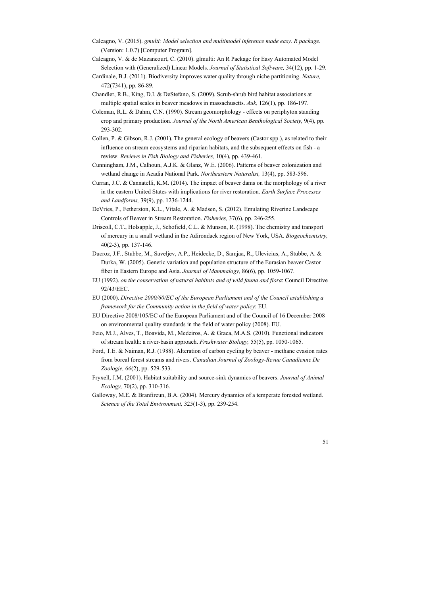- Calcagno, V. (2015). *gmulti: Model selection and multimodel inference made easy. R package.* (Version: 1.0.7) [Computer Program].
- Calcagno, V. & de Mazancourt, C. (2010). glmulti: An R Package for Easy Automated Model Selection with (Generalized) Linear Models. *Journal of Statistical Software,* 34(12), pp. 1-29.
- Cardinale, B.J. (2011). Biodiversity improves water quality through niche partitioning. *Nature,*  472(7341), pp. 86-89.
- Chandler, R.B., King, D.I. & DeStefano, S. (2009). Scrub-shrub bird habitat associations at multiple spatial scales in beaver meadows in massachusetts. *Auk,* 126(1), pp. 186-197.
- Coleman, R.L. & Dahm, C.N. (1990). Stream geomorphology effects on periphyton standing crop and primary production. *Journal of the North American Benthological Society,* 9(4), pp. 293-302.
- Collen, P. & Gibson, R.J. (2001). The general ecology of beavers (Castor spp.), as related to their influence on stream ecosystems and riparian habitats, and the subsequent effects on fish - a review. *Reviews in Fish Biology and Fisheries,* 10(4), pp. 439-461.
- Cunningham, J.M., Calhoun, A.J.K. & Glanz, W.E. (2006). Patterns of beaver colonization and wetland change in Acadia National Park. *Northeastern Naturalist,* 13(4), pp. 583-596.
- Curran, J.C. & Cannatelli, K.M. (2014). The impact of beaver dams on the morphology of a river in the eastern United States with implications for river restoration. *Earth Surface Processes and Landforms,* 39(9), pp. 1236-1244.
- DeVries, P., Fetherston, K.L., Vitale, A. & Madsen, S. (2012). Emulating Riverine Landscape Controls of Beaver in Stream Restoration. *Fisheries,* 37(6), pp. 246-255.
- Driscoll, C.T., Holsapple, J., Schofield, C.L. & Munson, R. (1998). The chemistry and transport of mercury in a small wetland in the Adirondack region of New York, USA. *Biogeochemistry,*  40(2-3), pp. 137-146.
- Ducroz, J.F., Stubbe, M., Saveljev, A.P., Heidecke, D., Samjaa, R., Ulevicius, A., Stubbe, A. & Durka, W. (2005). Genetic variation and population structure of the Eurasian beaver Castor fiber in Eastern Europe and Asia. *Journal of Mammalogy,* 86(6), pp. 1059-1067.
- EU (1992). *on the conservation of natural habitats and of wild fauna and flora*: Council Directive 92/43/EEC.
- EU (2000). *Directive 2000/60/EC of the European Parliament and of the Council establishing a framework for the Community action in the field of water policy*: EU.
- EU Directive 2008/105/EC of the European Parliament and of the Council of 16 December 2008 on environmental quality standards in the field of water policy (2008). EU.
- Feio, M.J., Alves, T., Boavida, M., Medeiros, A. & Graca, M.A.S. (2010). Functional indicators of stream health: a river-basin approach. *Freshwater Biology,* 55(5), pp. 1050-1065.
- Ford, T.E. & Naiman, R.J. (1988). Alteration of carbon cycling by beaver methane evasion rates from boreal forest streams and rivers. *Canadian Journal of Zoology-Revue Canadienne De Zoologie,* 66(2), pp. 529-533.
- Fryxell, J.M. (2001). Habitat suitability and source-sink dynamics of beavers. *Journal of Animal Ecology,* 70(2), pp. 310-316.
- Galloway, M.E. & Branfireun, B.A. (2004). Mercury dynamics of a temperate forested wetland. *Science of the Total Environment,* 325(1-3), pp. 239-254.

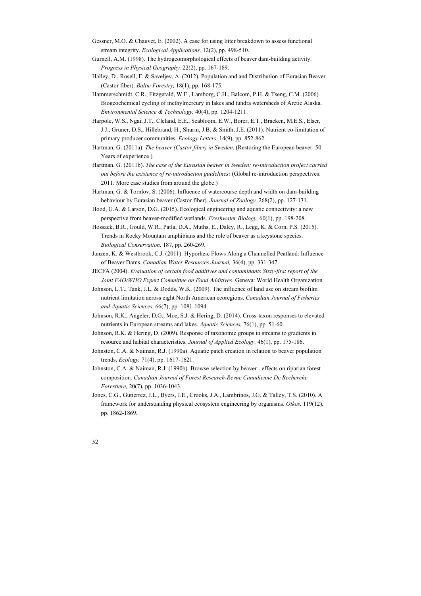- Gessner, M.O. & Chauvet, E. (2002). A case for using litter breakdown to assess functional stream integrity. *Ecological Applications,* 12(2), pp. 498-510.
- Gurnell, A.M. (1998). The hydrogeomorphological effects of beaver dam-building activity. *Progress in Physical Geography,* 22(2), pp. 167-189.
- Halley, D., Rosell, F. & Saveljev, A. (2012). Population and and Distribution of Eurasian Beaver (Castor fiber). *Baltic Forestry,* 18(1), pp. 168-175.
- Hammerschmidt, C.R., Fitzgerald, W.F., Lamborg, C.H., Balcom, P.H. & Tseng, C.M. (2006). Biogeochemical cycling of methylmercury in lakes and tundra watersheds of Arctic Alaska. *Environmental Science & Technology,* 40(4), pp. 1204-1211.
- Harpole, W.S., Ngai, J.T., Cleland, E.E., Seabloom, E.W., Borer, E.T., Bracken, M.E.S., Elser, J.J., Gruner, D.S., Hillebrand, H., Shurin, J.B. & Smith, J.E. (2011). Nutrient co-limitation of primary producer communities. *Ecology Letters,* 14(9), pp. 852-862.
- Hartman, G. (2011a). *The beaver (Castor fiber) in Sweden*. (Restoring the European beaver: 50 Years of experience.)
- Hartman, G. (2011b). *The case of the Eurasian beaver in Sweden: re-introduction project carried out before the existence of re-introduction guidelines!* (Global re-introduction perspectives: 2011. More case studies from around the globe.)
- Hartman, G. & Tornlov, S. (2006). Influence of watercourse depth and width on dam-building behaviour by Eurasian beaver (Castor fiber). *Journal of Zoology,* 268(2), pp. 127-131.
- Hood, G.A. & Larson, D.G. (2015). Ecological engineering and aquatic connectivity: a new perspective from beaver-modified wetlands. *Freshwater Biology,* 60(1), pp. 198-208.
- Hossack, B.R., Gould, W.R., Patla, D.A., Muths, E., Daley, R., Legg, K. & Corn, P.S. (2015). Trends in Rocky Mountain amphibians and the role of beaver as a keystone species. *Biological Conservation,* 187, pp. 260-269.
- Janzen, K. & Westbrook, C.J. (2011). Hyporheic Flows Along a Channelled Peatland: Influence of Beaver Dams. *Canadian Water Resources Journal,* 36(4), pp. 331-347.
- JECFA (2004). *Evaluation of certain food additives and contaminants Sixty-first report of the Joint FAO/WHO Expert Committee on Food Additives*. Geneva: World Health Organization.
- Johnson, L.T., Tank, J.L. & Dodds, W.K. (2009). The influence of land use on stream biofilm nutrient limitation across eight North American ecoregions. *Canadian Journal of Fisheries and Aquatic Sciences,* 66(7), pp. 1081-1094.
- Johnson, R.K., Angeler, D.G., Moe, S.J. & Hering, D. (2014). Cross-taxon responses to elevated nutrients in European streams and lakes. *Aquatic Sciences,* 76(1), pp. 51-60.
- Johnson, R.K. & Hering, D. (2009). Response of taxonomic groups in streams to gradients in resource and habitat characteristics. *Journal of Applied Ecology,* 46(1), pp. 175-186.
- Johnston, C.A. & Naiman, R.J. (1990a). Aquatic patch creation in relation to beaver population trends. *Ecology,* 71(4), pp. 1617-1621.
- Johnston, C.A. & Naiman, R.J. (1990b). Browse selection by beaver effects on riparian forest composition. *Canadian Journal of Forest Research-Revue Canadienne De Recherche Forestiere,* 20(7), pp. 1036-1043.
- Jones, C.G., Gutierrez, J.L., Byers, J.E., Crooks, J.A., Lambrinos, J.G. & Talley, T.S. (2010). A framework for understanding physical ecosystem engineering by organisms. *Oikos,* 119(12), pp. 1862-1869.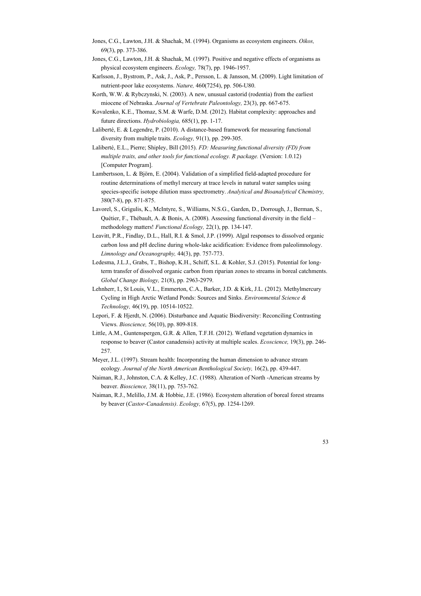- Jones, C.G., Lawton, J.H. & Shachak, M. (1994). Organisms as ecosystem engineers. *Oikos,*  69(3), pp. 373-386.
- Jones, C.G., Lawton, J.H. & Shachak, M. (1997). Positive and negative effects of organisms as physical ecosystem engineers. *Ecology,* 78(7), pp. 1946-1957.
- Karlsson, J., Bystrom, P., Ask, J., Ask, P., Persson, L. & Jansson, M. (2009). Light limitation of nutrient-poor lake ecosystems. *Nature,* 460(7254), pp. 506-U80.
- Korth, W.W. & Rybczynski, N. (2003). A new, unusual castorid (rodentia) from the earliest miocene of Nebraska. *Journal of Vertebrate Paleontology,* 23(3), pp. 667-675.
- Kovalenko, K.E., Thomaz, S.M. & Warfe, D.M. (2012). Habitat complexity: approaches and future directions. *Hydrobiologia,* 685(1), pp. 1-17.
- Laliberté, E. & Legendre, P. (2010). A distance-based framework for measuring functional diversity from multiple traits. *Ecology,* 91(1), pp. 299-305.
- Laliberté, E.L., Pierre; Shipley, Bill (2015). *FD: Measuring functional diversity (FD) from multiple traits, and other tools for functional ecology. R package.* (Version: 1.0.12) [Computer Program].
- Lambertsson, L. & Björn, E. (2004). Validation of a simplified field-adapted procedure for routine determinations of methyl mercury at trace levels in natural water samples using species-specific isotope dilution mass spectrometry. *Analytical and Bioanalytical Chemistry,*  380(7-8), pp. 871-875.
- Lavorel, S., Grigulis, K., McIntyre, S., Williams, N.S.G., Garden, D., Dorrough, J., Berman, S., Quétier, F., Thébault, A. & Bonis, A. (2008). Assessing functional diversity in the field – methodology matters! *Functional Ecology,* 22(1), pp. 134-147.
- Leavitt, P.R., Findlay, D.L., Hall, R.I. & Smol, J.P. (1999). Algal responses to dissolved organic carbon loss and pH decline during whole-lake acidification: Evidence from paleolimnology. *Limnology and Oceanography,* 44(3), pp. 757-773.
- Ledesma, J.L.J., Grabs, T., Bishop, K.H., Schiff, S.L. & Kohler, S.J. (2015). Potential for longterm transfer of dissolved organic carbon from riparian zones to streams in boreal catchments. *Global Change Biology,* 21(8), pp. 2963-2979.
- Lehnherr, I., St Louis, V.L., Emmerton, C.A., Barker, J.D. & Kirk, J.L. (2012). Methylmercury Cycling in High Arctic Wetland Ponds: Sources and Sinks. *Environmental Science & Technology,* 46(19), pp. 10514-10522.
- Lepori, F. & Hjerdt, N. (2006). Disturbance and Aquatic Biodiversity: Reconciling Contrasting Views. *Bioscience,* 56(10), pp. 809-818.
- Little, A.M., Guntenspergen, G.R. & Allen, T.F.H. (2012). Wetland vegetation dynamics in response to beaver (Castor canadensis) activity at multiple scales. *Ecoscience,* 19(3), pp. 246- 257.
- Meyer, J.L. (1997). Stream health: Incorporating the human dimension to advance stream ecology. *Journal of the North American Benthological Society,* 16(2), pp. 439-447.
- Naiman, R.J., Johnston, C.A. & Kelley, J.C. (1988). Alteration of North -American streams by beaver. *Bioscience,* 38(11), pp. 753-762.
- Naiman, R.J., Melillo, J.M. & Hobbie, J.E. (1986). Ecosystem alteration of boreal forest streams by beaver (*Castor-Canadensis)*. *Ecology,* 67(5), pp. 1254-1269.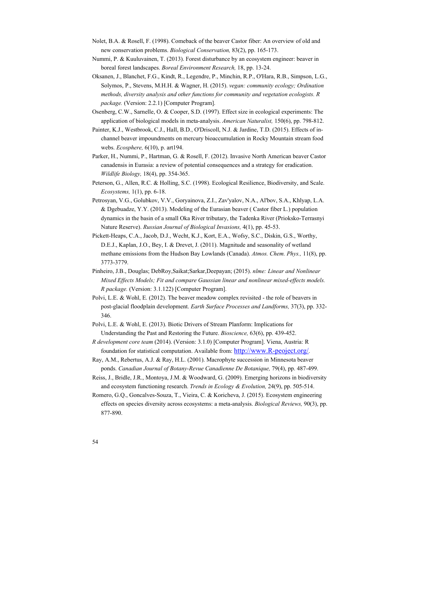- Nolet, B.A. & Rosell, F. (1998). Comeback of the beaver Castor fiber: An overview of old and new conservation problems. *Biological Conservation,* 83(2), pp. 165-173.
- Nummi, P. & Kuuluvainen, T. (2013). Forest disturbance by an ecosystem engineer: beaver in boreal forest landscapes. *Boreal Environment Research,* 18, pp. 13-24.
- Oksanen, J., Blanchet, F.G., Kindt, R., Legendre, P., Minchin, R.P., O'Hara, R.B., Simpson, L.G., Solymos, P., Stevens, M.H.H. & Wagner, H. (2015). *vegan: community ecology; Ordination methods, diversity analysis and other functions for community and vegetation ecologists. R package.* (Version: 2.2.1) [Computer Program].
- Osenberg, C.W., Sarnelle, O. & Cooper, S.D. (1997). Effect size in ecological experiments: The application of biological models in meta-analysis. *American Naturalist,* 150(6), pp. 798-812.
- Painter, K.J., Westbrook, C.J., Hall, B.D., O'Driscoll, N.J. & Jardine, T.D. (2015). Effects of inchannel beaver impoundments on mercury bioaccumulation in Rocky Mountain stream food webs. *Ecosphere,* 6(10), p. art194.
- Parker, H., Nummi, P., Hartman, G. & Rosell, F. (2012). Invasive North American beaver Castor canadensis in Eurasia: a review of potential consequences and a strategy for eradication. *Wildlife Biology,* 18(4), pp. 354-365.
- Peterson, G., Allen, R.C. & Holling, S.C. (1998). Ecological Resilience, Biodiversity, and Scale. *Ecosystems,* 1(1), pp. 6-18.
- Petrosyan, V.G., Golubkov, V.V., Goryainova, Z.I., Zav'yalov, N.A., Al'bov, S.A., Khlyap, L.A. & Dgebuadze, Y.Y. (2013). Modeling of the Eurasian beaver ( Castor fiber L.) population dynamics in the basin of a small Oka River tributary, the Tadenka River (Prioksko-Terrasnyi Nature Reserve). *Russian Journal of Biological Invasions,* 4(1), pp. 45-53.
- Pickett-Heaps, C.A., Jacob, D.J., Wecht, K.J., Kort, E.A., Wofsy, S.C., Diskin, G.S., Worthy, D.E.J., Kaplan, J.O., Bey, I. & Drevet, J. (2011). Magnitude and seasonality of wetland methane emissions from the Hudson Bay Lowlands (Canada). *Atmos. Chem. Phys.,* 11(8), pp. 3773-3779.
- Pinheiro, J.B., Douglas; DebRoy,Saikat;Sarkar,Deepayan; (2015). *nlme: Linear and Nonlinear Mixed Effects Models; Fit and compare Gaussian linear and nonlinear mixed-effects models. R package.* (Version: 3.1.122) [Computer Program].
- Polvi, L.E. & Wohl, E. (2012). The beaver meadow complex revisited the role of beavers in post-glacial floodplain development. *Earth Surface Processes and Landforms,* 37(3), pp. 332- 346.
- Polvi, L.E. & Wohl, E. (2013). Biotic Drivers of Stream Planform: Implications for Understanding the Past and Restoring the Future. *Bioscience,* 63(6), pp. 439-452.
- *R development core team* (2014). (Version: 3.1.0) [Computer Program]. Viena, Austria: R foundation for statistical computation. Available from: http://www.R-peoject.org/.
- Ray, A.M., Rebertus, A.J. & Ray, H.L. (2001). Macrophyte succession in Minnesota beaver ponds. *Canadian Journal of Botany-Revue Canadienne De Botanique,* 79(4), pp. 487-499.
- Reiss, J., Bridle, J.R., Montoya, J.M. & Woodward, G. (2009). Emerging horizons in biodiversity and ecosystem functioning research. *Trends in Ecology & Evolution,* 24(9), pp. 505-514.
- Romero, G.Q., Goncalves-Souza, T., Vieira, C. & Koricheva, J. (2015). Ecosystem engineering effects on species diversity across ecosystems: a meta-analysis. *Biological Reviews,* 90(3), pp. 877-890.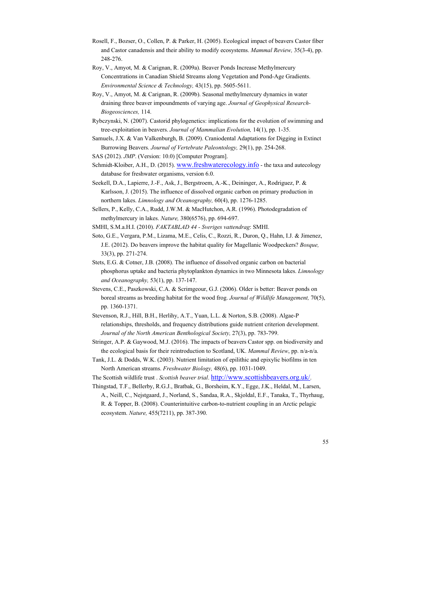- Rosell, F., Bozser, O., Collen, P. & Parker, H. (2005). Ecological impact of beavers Castor fiber and Castor canadensis and their ability to modify ecosystems. *Mammal Review,* 35(3-4), pp. 248-276.
- Roy, V., Amyot, M. & Carignan, R. (2009a). Beaver Ponds Increase Methylmercury Concentrations in Canadian Shield Streams along Vegetation and Pond-Age Gradients. *Environmental Science & Technology,* 43(15), pp. 5605-5611.
- Roy, V., Amyot, M. & Carignan, R. (2009b). Seasonal methylmercury dynamics in water draining three beaver impoundments of varying age. *Journal of Geophysical Research-Biogeosciences,* 114.
- Rybczynski, N. (2007). Castorid phylogenetics: implications for the evolution of swimming and tree-exploitation in beavers. *Journal of Mammalian Evolution,* 14(1), pp. 1-35.
- Samuels, J.X. & Van Valkenburgh, B. (2009). Craniodental Adaptations for Digging in Extinct Burrowing Beavers. *Journal of Vertebrate Paleontology,* 29(1), pp. 254-268.
- SAS (2012). *JMP*. (Version: 10.0) [Computer Program].
- Schmidt-Kloiber, A.H., D. (2015). www.freshwaterecology.info the taxa and autecology database for freshwater organisms, version 6.0.
- Seekell, D.A., Lapierre, J.-F., Ask, J., Bergstroem, A.-K., Deininger, A., Rodriguez, P. & Karlsson, J. (2015). The influence of dissolved organic carbon on primary production in northern lakes. *Limnology and Oceanography,* 60(4), pp. 1276-1285.
- Sellers, P., Kelly, C.A., Rudd, J.W.M. & MacHutchon, A.R. (1996). Photodegradation of methylmercury in lakes. *Nature,* 380(6576), pp. 694-697.
- SMHI, S.M.a.H.I. (2010). *FAKTABLAD 44 Sveriges vattendrag*: SMHI.
- Soto, G.E., Vergara, P.M., Lizama, M.E., Celis, C., Rozzi, R., Duron, Q., Hahn, I.J. & Jimenez, J.E. (2012). Do beavers improve the habitat quality for Magellanic Woodpeckers? *Bosque,*  33(3), pp. 271-274.
- Stets, E.G. & Cotner, J.B. (2008). The influence of dissolved organic carbon on bacterial phosphorus uptake and bacteria phytoplankton dynamics in two Minnesota lakes. *Limnology and Oceanography,* 53(1), pp. 137-147.
- Stevens, C.E., Paszkowski, C.A. & Scrimgeour, G.J. (2006). Older is better: Beaver ponds on boreal streams as breeding habitat for the wood frog. *Journal of Wildlife Management,* 70(5), pp. 1360-1371.
- Stevenson, R.J., Hill, B.H., Herlihy, A.T., Yuan, L.L. & Norton, S.B. (2008). Algae-P relationships, thresholds, and frequency distributions guide nutrient criterion development. *Journal of the North American Benthological Society,* 27(3), pp. 783-799.
- Stringer, A.P. & Gaywood, M.J. (2016). The impacts of beavers Castor spp. on biodiversity and the ecological basis for their reintroduction to Scotland, UK. *Mammal Review*, pp. n/a-n/a.
- Tank, J.L. & Dodds, W.K. (2003). Nutrient limitation of epilithic and epixylic biofilms in ten North American streams. *Freshwater Biology,* 48(6), pp. 1031-1049.

The Scottish wildlife trust . *Scottish beaver trial*. http://www.scottishbeavers.org.uk/.

Thingstad, T.F., Bellerby, R.G.J., Bratbak, G., Borsheim, K.Y., Egge, J.K., Heldal, M., Larsen, A., Neill, C., Nejstgaard, J., Norland, S., Sandaa, R.A., Skjoldal, E.F., Tanaka, T., Thyrhaug, R. & Topper, B. (2008). Counterintuitive carbon-to-nutrient coupling in an Arctic pelagic ecosystem. *Nature,* 455(7211), pp. 387-390.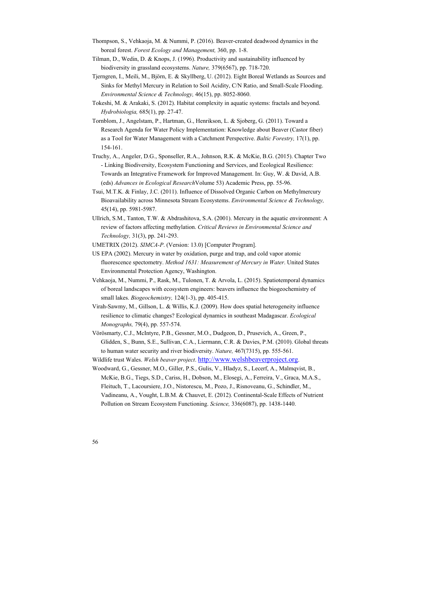- Thompson, S., Vehkaoja, M. & Nummi, P. (2016). Beaver-created deadwood dynamics in the boreal forest. *Forest Ecology and Management,* 360, pp. 1-8.
- Tilman, D., Wedin, D. & Knops, J. (1996). Productivity and sustainability influenced by biodiversity in grassland ecosystems. *Nature,* 379(6567), pp. 718-720.
- Tjerngren, I., Meili, M., Björn, E. & Skyllberg, U. (2012). Eight Boreal Wetlands as Sources and Sinks for Methyl Mercury in Relation to Soil Acidity, C/N Ratio, and Small-Scale Flooding. *Environmental Science & Technology,* 46(15), pp. 8052-8060.
- Tokeshi, M. & Arakaki, S. (2012). Habitat complexity in aquatic systems: fractals and beyond. *Hydrobiologia,* 685(1), pp. 27-47.
- Tornblom, J., Angelstam, P., Hartman, G., Henrikson, L. & Sjoberg, G. (2011). Toward a Research Agenda for Water Policy Implementation: Knowledge about Beaver (Castor fiber) as a Tool for Water Management with a Catchment Perspective. *Baltic Forestry,* 17(1), pp. 154-161.
- Truchy, A., Angeler, D.G., Sponseller, R.A., Johnson, R.K. & McKie, B.G. (2015). Chapter Two - Linking Biodiversity, Ecosystem Functioning and Services, and Ecological Resilience: Towards an Integrative Framework for Improved Management. In: Guy, W. & David, A.B. (eds) *Advances in Ecological Research*Volume 53) Academic Press, pp. 55-96.
- Tsui, M.T.K. & Finlay, J.C. (2011). Influence of Dissolved Organic Carbon on Methylmercury Bioavailability across Minnesota Stream Ecosystems. *Environmental Science & Technology,*  45(14), pp. 5981-5987.
- Ullrich, S.M., Tanton, T.W. & Abdrashitova, S.A. (2001). Mercury in the aquatic environment: A review of factors affecting methylation. *Critical Reviews in Environmental Science and Technology,* 31(3), pp. 241-293.
- UMETRIX (2012). *SIMCA-P*. (Version: 13.0) [Computer Program].
- US EPA (2002). Mercury in water by oxidation, purge and trap, and cold vapor atomic fluorescence spectometry. *Method 1631: Measurement of Mercury in Water*. United States Environmental Protection Agency, Washington.
- Vehkaoja, M., Nummi, P., Rask, M., Tulonen, T. & Arvola, L. (2015). Spatiotemporal dynamics of boreal landscapes with ecosystem engineers: beavers influence the biogeochemistry of small lakes. *Biogeochemistry,* 124(1-3), pp. 405-415.
- Virah-Sawmy, M., Gillson, L. & Willis, K.J. (2009). How does spatial heterogeneity influence resilience to climatic changes? Ecological dynamics in southeast Madagascar. *Ecological Monographs,* 79(4), pp. 557-574.
- Vörösmarty, C.J., McIntyre, P.B., Gessner, M.O., Dudgeon, D., Prusevich, A., Green, P., Glidden, S., Bunn, S.E., Sullivan, C.A., Liermann, C.R. & Davies, P.M. (2010). Global threats to human water security and river biodiversity. *Nature,* 467(7315), pp. 555-561.
- Wildlife trust Wales. *Welsh beaver project*. http://www.welshbeaverproject.org.
- Woodward, G., Gessner, M.O., Giller, P.S., Gulis, V., Hladyz, S., Lecerf, A., Malmqvist, B., McKie, B.G., Tiegs, S.D., Cariss, H., Dobson, M., Elosegi, A., Ferreira, V., Graca, M.A.S., Fleituch, T., Lacoursiere, J.O., Nistorescu, M., Pozo, J., Risnoveanu, G., Schindler, M., Vadineanu, A., Vought, L.B.M. & Chauvet, E. (2012). Continental-Scale Effects of Nutrient Pollution on Stream Ecosystem Functioning. *Science,* 336(6087), pp. 1438-1440.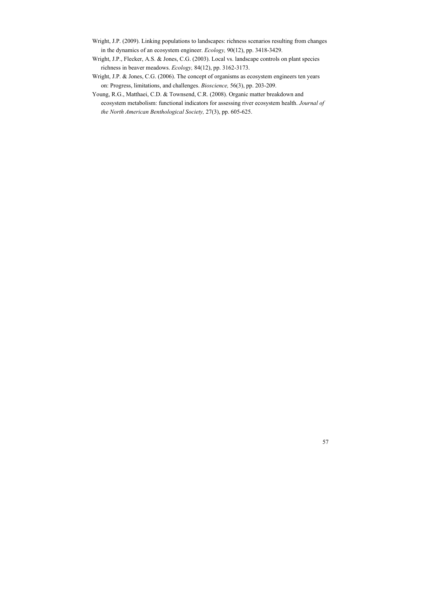- Wright, J.P. (2009). Linking populations to landscapes: richness scenarios resulting from changes in the dynamics of an ecosystem engineer. *Ecology,* 90(12), pp. 3418-3429.
- Wright, J.P., Flecker, A.S. & Jones, C.G. (2003). Local vs. landscape controls on plant species richness in beaver meadows. *Ecology,* 84(12), pp. 3162-3173.
- Wright, J.P. & Jones, C.G. (2006). The concept of organisms as ecosystem engineers ten years on: Progress, limitations, and challenges. *Bioscience,* 56(3), pp. 203-209.
- Young, R.G., Matthaei, C.D. & Townsend, C.R. (2008). Organic matter breakdown and ecosystem metabolism: functional indicators for assessing river ecosystem health. *Journal of the North American Benthological Society,* 27(3), pp. 605-625.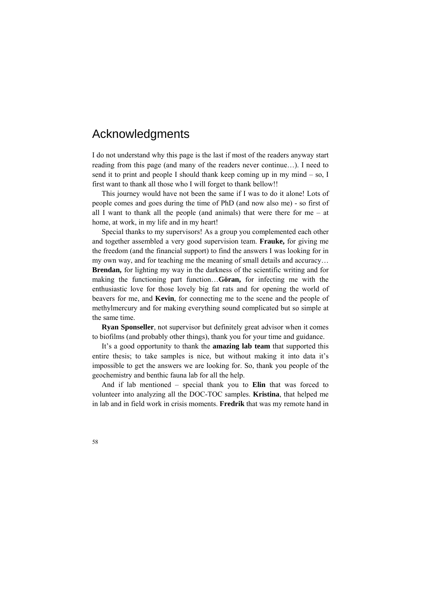# Acknowledgments

I do not understand why this page is the last if most of the readers anyway start reading from this page (and many of the readers never continue…). I need to send it to print and people I should thank keep coming up in my mind – so, I first want to thank all those who I will forget to thank bellow!!

This journey would have not been the same if I was to do it alone! Lots of people comes and goes during the time of PhD (and now also me) - so first of all I want to thank all the people (and animals) that were there for me – at home, at work, in my life and in my heart!

Special thanks to my supervisors! As a group you complemented each other and together assembled a very good supervision team. **Frauke,** for giving me the freedom (and the financial support) to find the answers I was looking for in my own way, and for teaching me the meaning of small details and accuracy… **Brendan,** for lighting my way in the darkness of the scientific writing and for making the functioning part function…**Göran,** for infecting me with the enthusiastic love for those lovely big fat rats and for opening the world of beavers for me, and **Kevin**, for connecting me to the scene and the people of methylmercury and for making everything sound complicated but so simple at the same time.

**Ryan Sponseller**, not supervisor but definitely great advisor when it comes to biofilms (and probably other things), thank you for your time and guidance.

It's a good opportunity to thank the **amazing lab team** that supported this entire thesis; to take samples is nice, but without making it into data it's impossible to get the answers we are looking for. So, thank you people of the geochemistry and benthic fauna lab for all the help.

And if lab mentioned – special thank you to **Elin** that was forced to volunteer into analyzing all the DOC-TOC samples. **Kristina**, that helped me in lab and in field work in crisis moments. **Fredrik** that was my remote hand in